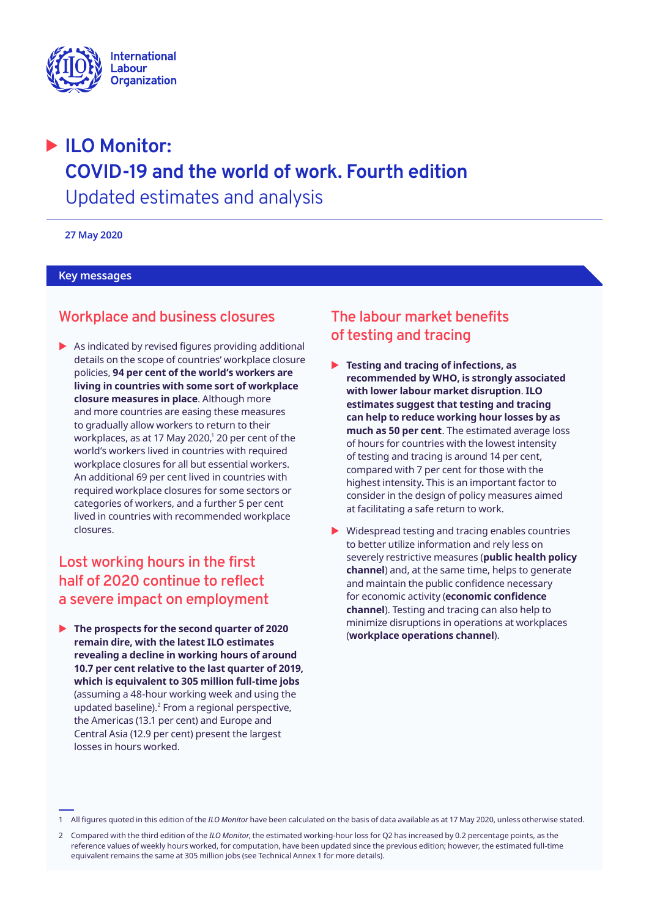

# � **ILO Monitor: COVID-19 and the world of work. Fourth edition**  Updated estimates and analysis

**27 May 2020** 

### **Key messages**

# **Workplace and business closures**

 $\blacktriangleright$  As indicated by revised figures providing additional details on the scope of countries' workplace closure policies, **94 per cent of the world's workers are living in countries with some sort of workplace closure measures in place**. Although more and more countries are easing these measures to gradually allow workers to return to their workplaces, as at 17 May 2020, $^\mathrm{1}$  20 per cent of the world's workers lived in countries with required workplace closures for all but essential workers. An additional 69 per cent lived in countries with required workplace closures for some sectors or categories of workers, and a further 5 per cent lived in countries with recommended workplace closures.

# **Lost working hours in the first half of 2020 continue to reflect a severe impact on employment**

**IDENTIFY The prospects for the second quarter of 2020 remain dire, with the latest ILO estimates revealing a decline in working hours of around 10.7 per cent relative to the last quarter of 2019, which is equivalent to 305 million full-time jobs**  (assuming a 48-hour working week and using the updated baseline). $<sup>2</sup>$  From a regional perspective,</sup> the Americas (13.1 per cent) and Europe and Central Asia (12.9 per cent) present the largest losses in hours worked.

# **The labour market benefits of testing and tracing**

- ▶ Testing and tracing of infections, as **recommended by WHO, is strongly associated with lower labour market disruption**. **ILO estimates suggest that testing and tracing can help to reduce working hour losses by as much as 50 per cent**. The estimated average loss of hours for countries with the lowest intensity of testing and tracing is around 14 per cent, compared with 7 per cent for those with the highest intensity**.** This is an important factor to consider in the design of policy measures aimed at facilitating a safe return to work.
- $\triangleright$  Widespread testing and tracing enables countries to better utilize information and rely less on severely restrictive measures (**public health policy channel**) and, at the same time, helps to generate and maintain the public confidence necessary for economic activity (**economic confidence channel**). Testing and tracing can also help to minimize disruptions in operations at workplaces (**workplace operations channel**).

<sup>1</sup> All figures quoted in this edition of the *ILO Monitor* have been calculated on the basis of data available as at 17 May 2020, unless otherwise stated.

<sup>2</sup> Compared with the third edition of the *ILO Monitor*, the estimated working-hour loss for Q2 has increased by 0.2 percentage points, as the reference values of weekly hours worked, for computation, have been updated since the previous edition; however, the estimated full-time equivalent remains the same at 305 million jobs (see Technical Annex 1 for more details).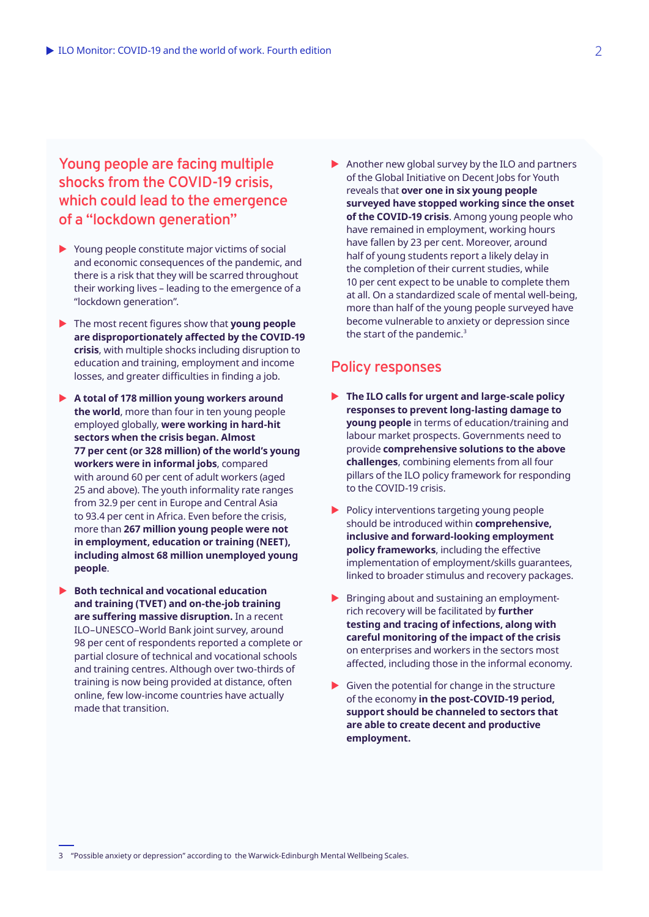**Young people are facing multiple shocks from the COVID‑19 crisis, which could lead to the emergence of a "lockdown generation"**

- $\triangleright$  Young people constitute major victims of social and economic consequences of the pandemic, and there is a risk that they will be scarred throughout their working lives – leading to the emergence of a "lockdown generation".
- $\blacktriangleright$  The most recent figures show that **young people are disproportionately affected by the COVID‑19 crisis**, with multiple shocks including disruption to education and training, employment and income losses, and greater difficulties in finding a job.
- ▶ A total of 178 million young workers around **the world**, more than four in ten young people employed globally, **were working in hard-hit sectors when the crisis began. Almost 77 per cent (or 328 million) of the world's young workers were in informal jobs**, compared with around 60 per cent of adult workers (aged 25 and above). The youth informality rate ranges from 32.9 per cent in Europe and Central Asia to 93.4 per cent in Africa. Even before the crisis, more than **267 million young people were not in employment, education or training (NEET), including almost 68 million unemployed young people**.
- ▶ Both technical and vocational education **and training (TVET) and on-the-job training are suffering massive disruption.** In a recent ILO–UNESCO–World Bank joint survey, around 98 per cent of respondents reported a complete or partial closure of technical and vocational schools and training centres. Although over two-thirds of training is now being provided at distance, often online, few low-income countries have actually made that transition.

 $\triangleright$  Another new global survey by the ILO and partners of the Global Initiative on Decent Jobs for Youth reveals that **over one in six young people surveyed have stopped working since the onset of the COVID‑19 crisis**. Among young people who have remained in employment, working hours have fallen by 23 per cent. Moreover, around half of young students report a likely delay in the completion of their current studies, while 10 per cent expect to be unable to complete them at all. On a standardized scale of mental well-being, more than half of the young people surveyed have become vulnerable to anxiety or depression since the start of the pandemic.<sup>3</sup>

### **Policy responses**

- ▶ The ILO calls for urgent and large-scale policy **responses to prevent long-lasting damage to young people** in terms of education/training and labour market prospects. Governments need to provide **comprehensive solutions to the above challenges**, combining elements from all four pillars of the ILO policy framework for responding to the COVID-19 crisis.
- $\blacktriangleright$  Policy interventions targeting young people should be introduced within **comprehensive, inclusive and forward-looking employment policy frameworks**, including the effective implementation of employment/skills guarantees, linked to broader stimulus and recovery packages.
- $\blacktriangleright$  Bringing about and sustaining an employmentrich recovery will be facilitated by **further testing and tracing of infections, along with careful monitoring of the impact of the crisis** on enterprises and workers in the sectors most affected, including those in the informal economy.
- $\blacktriangleright$  Given the potential for change in the structure of the economy **in the post-COVID-19 period, support should be channeled to sectors that are able to create decent and productive employment.**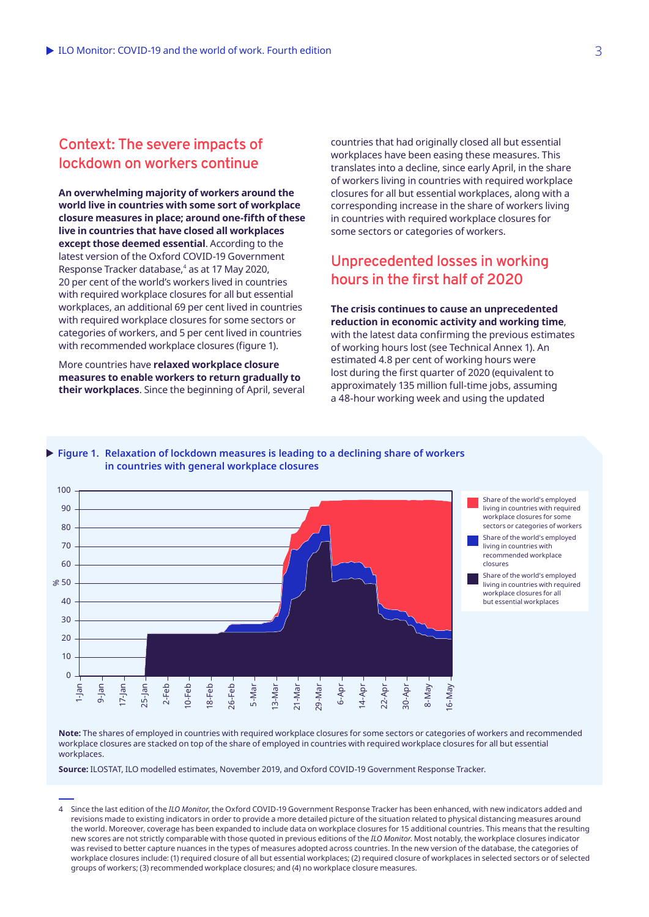# **Context: The severe impacts of lockdown on workers continue**

**An overwhelming majority of workers around the world live in countries with some sort of workplace closure measures in place; around one-fifth of these live in countries that have closed all workplaces except those deemed essential**. According to the latest version of the Oxford COVID‑19 Government Response Tracker database,<sup>4</sup> as at 17 May 2020, 20 per cent of the world's workers lived in countries with required workplace closures for all but essential workplaces, an additional 69 per cent lived in countries with required workplace closures for some sectors or categories of workers, and 5 per cent lived in countries with recommended workplace closures (figure 1).

More countries have **relaxed workplace closure measures to enable workers to return gradually to their workplaces**. Since the beginning of April, several countries that had originally closed all but essential workplaces have been easing these measures. This translates into a decline, since early April, in the share of workers living in countries with required workplace closures for all but essential workplaces, along with a corresponding increase in the share of workers living in countries with required workplace closures for some sectors or categories of workers.

# **Unprecedented losses in working hours in the first half of 2020**

**The crisis continues to cause an unprecedented reduction in economic activity and working time**, with the latest data confirming the previous estimates of working hours lost (see Technical Annex 1). An estimated 4.8 per cent of working hours were lost during the first quarter of 2020 (equivalent to approximately 135 million full-time jobs, assuming a 48-hour working week and using the updated



**Figure 1. Relaxation of lockdown measures is leading to a declining share of workers** 

Share of the world's employed living in countries with required workplace closures for some sectors or categories of workers

Share of the world's employed living in countries with recommended workplace

Share of the world's employed living in countries with required workplace closures for all but essential workplaces

**Note:** The shares of employed in countries with required workplace closures for some sectors or categories of workers and recommended workplace closures are stacked on top of the share of employed in countries with required workplace closures for all but essential workplaces.

**Source:** ILOSTAT, ILO modelled estimates, November 2019, and Oxford COVID‑19 Government Response Tracker.

4 Since the last edition of the *ILO Monitor*, the Oxford COVID‑19 Government Response Tracker has been enhanced, with new indicators added and revisions made to existing indicators in order to provide a more detailed picture of the situation related to physical distancing measures around the world. Moreover, coverage has been expanded to include data on workplace closures for 15 additional countries. This means that the resulting new scores are not strictly comparable with those quoted in previous editions of the *ILO Monitor*. Most notably, the workplace closures indicator was revised to better capture nuances in the types of measures adopted across countries. In the new version of the database, the categories of workplace closures include: (1) required closure of all but essential workplaces; (2) required closure of workplaces in selected sectors or of selected groups of workers; (3) recommended workplace closures; and (4) no workplace closure measures.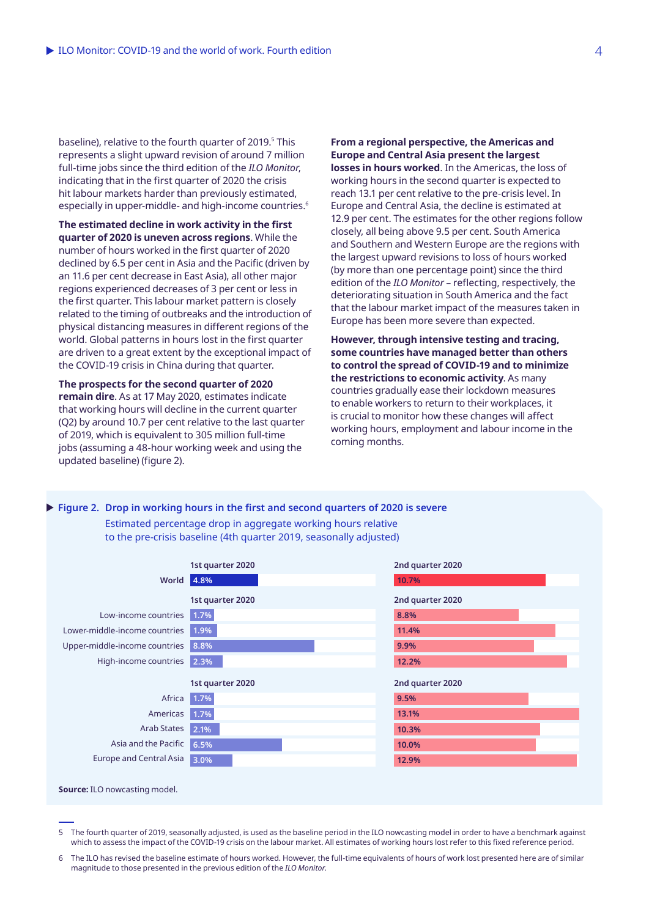baseline), relative to the fourth quarter of 2019.<sup>5</sup> This represents a slight upward revision of around 7 million full-time jobs since the third edition of the *ILO Monitor*, indicating that in the first quarter of 2020 the crisis hit labour markets harder than previously estimated, especially in upper-middle- and high-income countries.<sup>6</sup>

**The estimated decline in work activity in the first quarter of 2020 is uneven across regions**. While the number of hours worked in the first quarter of 2020 declined by 6.5 per cent in Asia and the Pacific (driven by an 11.6 per cent decrease in East Asia), all other major regions experienced decreases of 3 per cent or less in the first quarter. This labour market pattern is closely related to the timing of outbreaks and the introduction of physical distancing measures in different regions of the world. Global patterns in hours lost in the first quarter are driven to a great extent by the exceptional impact of the COVID‑19 crisis in China during that quarter.

**The prospects for the second quarter of 2020 remain dire**. As at 17 May 2020, estimates indicate that working hours will decline in the current quarter (Q2) by around 10.7 per cent relative to the last quarter of 2019, which is equivalent to 305 million full-time jobs (assuming a 48-hour working week and using the updated baseline) (figure 2).

**From a regional perspective, the Americas and Europe and Central Asia present the largest** 

**losses in hours worked**. In the Americas, the loss of working hours in the second quarter is expected to reach 13.1 per cent relative to the pre-crisis level. In Europe and Central Asia, the decline is estimated at 12.9 per cent. The estimates for the other regions follow closely, all being above 9.5 per cent. South America and Southern and Western Europe are the regions with the largest upward revisions to loss of hours worked (by more than one percentage point) since the third edition of the *ILO Monitor* – reflecting, respectively, the deteriorating situation in South America and the fact that the labour market impact of the measures taken in Europe has been more severe than expected.

**However, through intensive testing and tracing, some countries have managed better than others to control the spread of COVID‑19 and to minimize the restrictions to economic activity**. As many countries gradually ease their lockdown measures to enable workers to return to their workplaces, it is crucial to monitor how these changes will affect working hours, employment and labour income in the coming months.

#### X **Figure 2. Drop in working hours in the first and second quarters of 2020 is severe**

Estimated percentage drop in aggregate working hours relative to the pre-crisis baseline (4th quarter 2019, seasonally adjusted)



5 The fourth quarter of 2019, seasonally adjusted, is used as the baseline period in the ILO nowcasting model in order to have a benchmark against which to assess the impact of the COVID-19 crisis on the labour market. All estimates of working hours lost refer to this fixed reference period.

6 The ILO has revised the baseline estimate of hours worked. However, the full-time equivalents of hours of work lost presented here are of similar magnitude to those presented in the previous edition of the *ILO Monitor*.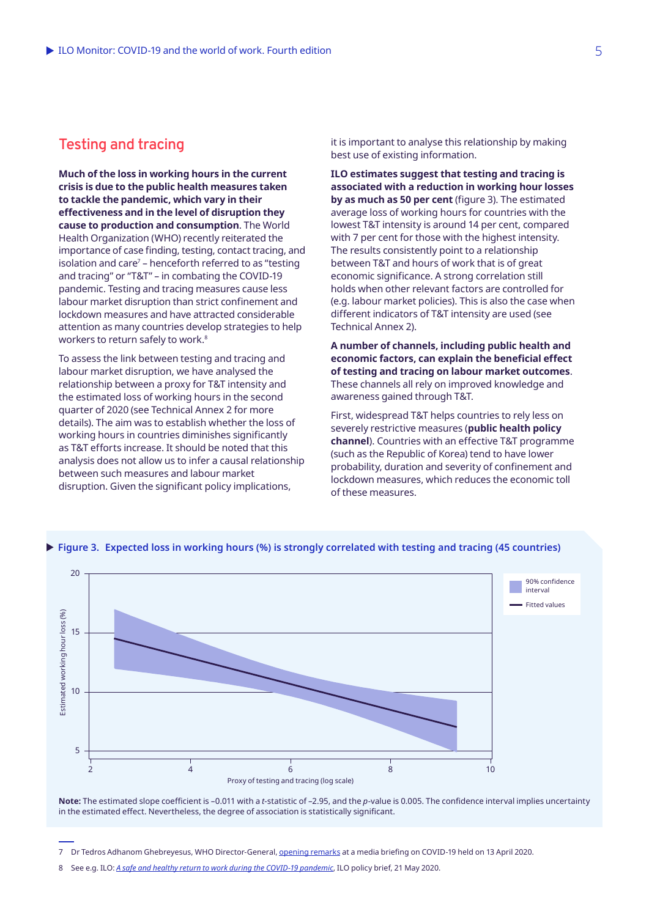# **Testing and tracing**

**Much of the loss in working hours in the current crisis is due to the public health measures taken to tackle the pandemic, which vary in their effectiveness and in the level of disruption they cause to production and consumption**. The World Health Organization (WHO) recently reiterated the importance of case finding, testing, contact tracing, and isolation and care<sup>7</sup> – henceforth referred to as "testing and tracing" or "T&T" – in combating the COVID‑19 pandemic. Testing and tracing measures cause less labour market disruption than strict confinement and lockdown measures and have attracted considerable attention as many countries develop strategies to help workers to return safely to work.<sup>8</sup>

To assess the link between testing and tracing and labour market disruption, we have analysed the relationship between a proxy for T&T intensity and the estimated loss of working hours in the second quarter of 2020 (see Technical Annex 2 for more details). The aim was to establish whether the loss of working hours in countries diminishes significantly as T&T efforts increase. It should be noted that this analysis does not allow us to infer a causal relationship between such measures and labour market disruption. Given the significant policy implications,

it is important to analyse this relationship by making best use of existing information.

**ILO estimates suggest that testing and tracing is associated with a reduction in working hour losses by as much as 50 per cent** (figure 3). The estimated average loss of working hours for countries with the lowest T&T intensity is around 14 per cent, compared with 7 per cent for those with the highest intensity. The results consistently point to a relationship between T&T and hours of work that is of great economic significance. A strong correlation still holds when other relevant factors are controlled for (e.g. labour market policies). This is also the case when different indicators of T&T intensity are used (see Technical Annex 2).

**A number of channels, including public health and economic factors, can explain the beneficial effect of testing and tracing on labour market outcomes**. These channels all rely on improved knowledge and awareness gained through T&T.

First, widespread T&T helps countries to rely less on severely restrictive measures (**public health policy channel**). Countries with an effective T&T programme (such as the Republic of Korea) tend to have lower probability, duration and severity of confinement and lockdown measures, which reduces the economic toll of these measures.



#### ▶ Figure 3. Expected loss in working hours (%) is strongly correlated with testing and tracing (45 countries)

**Note:** The estimated slope coefficient is –0.011 with a *t*-statistic of –2.95, and the *p*-value is 0.005. The confidence interval implies uncertainty in the estimated effect. Nevertheless, the degree of association is statistically significant.

<sup>7</sup> Dr Tedros Adhanom Ghebreyesus, WHO Director-General, [opening remarks](https://www.who.int/dg/speeches/detail/who-director-general-s-opening-remarks-at-the-media-briefing-on-covid-19--13-april-2020) at a media briefing on COVID-19 held on 13 April 2020.

<sup>8</sup> See e.g. ILO: *[A safe and healthy return to work during the COVID-19 pandemic](https://www.ilo.org/global/topics/safety-and-health-at-work/resources-library/publications/WCMS_745549/lang--en/index.htm)*, ILO policy brief, 21 May 2020.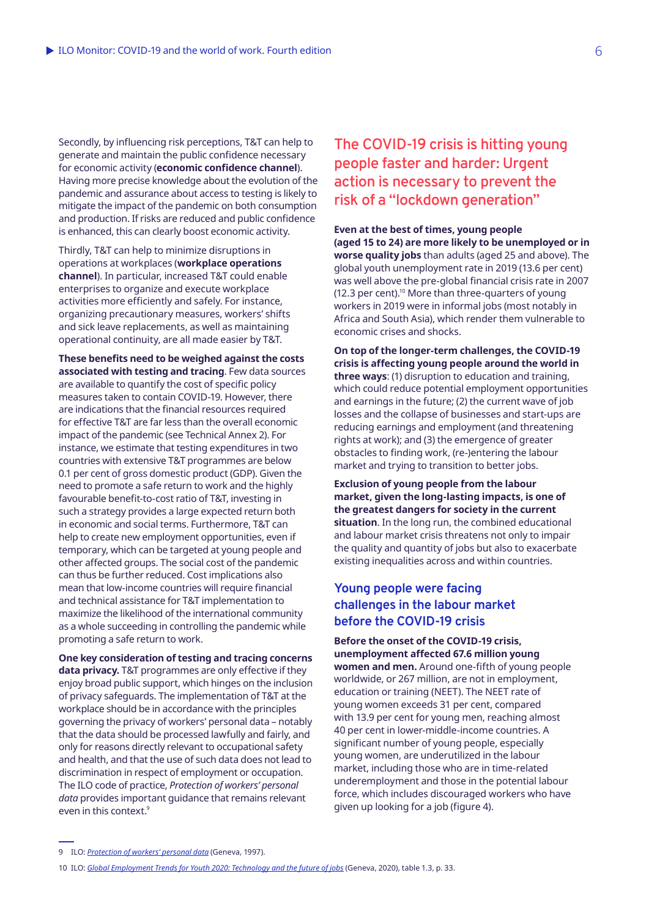Secondly, by influencing risk perceptions, T&T can help to generate and maintain the public confidence necessary for economic activity (**economic confidence channel**). Having more precise knowledge about the evolution of the pandemic and assurance about access to testing is likely to mitigate the impact of the pandemic on both consumption and production. If risks are reduced and public confidence is enhanced, this can clearly boost economic activity.

Thirdly, T&T can help to minimize disruptions in operations at workplaces (**workplace operations channel**). In particular, increased T&T could enable enterprises to organize and execute workplace activities more efficiently and safely. For instance, organizing precautionary measures, workers' shifts and sick leave replacements, as well as maintaining operational continuity, are all made easier by T&T.

**These benefits need to be weighed against the costs associated with testing and tracing**. Few data sources are available to quantify the cost of specific policy measures taken to contain COVID‑19. However, there are indications that the financial resources required for effective T&T are far less than the overall economic impact of the pandemic (see Technical Annex 2). For instance, we estimate that testing expenditures in two countries with extensive T&T programmes are below 0.1 per cent of gross domestic product (GDP). Given the need to promote a safe return to work and the highly favourable benefit-to-cost ratio of T&T, investing in such a strategy provides a large expected return both in economic and social terms. Furthermore, T&T can help to create new employment opportunities, even if temporary, which can be targeted at young people and other affected groups. The social cost of the pandemic can thus be further reduced. Cost implications also mean that low-income countries will require financial and technical assistance for T&T implementation to maximize the likelihood of the international community as a whole succeeding in controlling the pandemic while promoting a safe return to work.

**One key consideration of testing and tracing concerns data privacy.** T&T programmes are only effective if they enjoy broad public support, which hinges on the inclusion of privacy safeguards. The implementation of T&T at the workplace should be in accordance with the principles governing the privacy of workers' personal data – notably that the data should be processed lawfully and fairly, and only for reasons directly relevant to occupational safety and health, and that the use of such data does not lead to discrimination in respect of employment or occupation. The ILO code of practice, *Protection of workers' personal data* provides important guidance that remains relevant even in this context.<sup>9</sup>

**The COVID‑19 crisis is hitting young people faster and harder: Urgent action is necessary to prevent the risk of a "lockdown generation"**

**Even at the best of times, young people (aged 15 to 24) are more likely to be unemployed or in worse quality jobs** than adults (aged 25 and above). The global youth unemployment rate in 2019 (13.6 per cent) was well above the pre-global financial crisis rate in 2007 (12.3 per cent).<sup>10</sup> More than three-quarters of young workers in 2019 were in informal jobs (most notably in Africa and South Asia), which render them vulnerable to economic crises and shocks.

**On top of the longer-term challenges, the COVID‑19 crisis is affecting young people around the world in three ways**: (1) disruption to education and training, which could reduce potential employment opportunities and earnings in the future; (2) the current wave of job losses and the collapse of businesses and start-ups are reducing earnings and employment (and threatening rights at work); and (3) the emergence of greater obstacles to finding work, (re-)entering the labour market and trying to transition to better jobs.

**Exclusion of young people from the labour market, given the long-lasting impacts, is one of the greatest dangers for society in the current situation**. In the long run, the combined educational and labour market crisis threatens not only to impair the quality and quantity of jobs but also to exacerbate existing inequalities across and within countries.

## **Young people were facing challenges in the labour market before the COVID‑19 crisis**

**Before the onset of the COVID‑19 crisis, unemployment affected 67.6 million young women and men.** Around one-fifth of young people worldwide, or 267 million, are not in employment, education or training (NEET). The NEET rate of young women exceeds 31 per cent, compared with 13.9 per cent for young men, reaching almost 40 per cent in lower-middle-income countries. A significant number of young people, especially young women, are underutilized in the labour market, including those who are in time-related underemployment and those in the potential labour force, which includes discouraged workers who have given up looking for a job (figure 4).

9 ILO: *[Protection of workers' personal data](https://www.ilo.org/global/topics/safety-and-health-at-work/normative-instruments/code-of-practice/WCMS_107797/lang--en/index.htm)* (Geneva, 1997).

<sup>10</sup> ILO: *[Global Employment Trends for Youth 2020: Technology and the future of jobs](https://www.ilo.org/global/publications/books/WCMS_737648/lang--en/index.htm)* (Geneva, 2020), table 1.3, p. 33.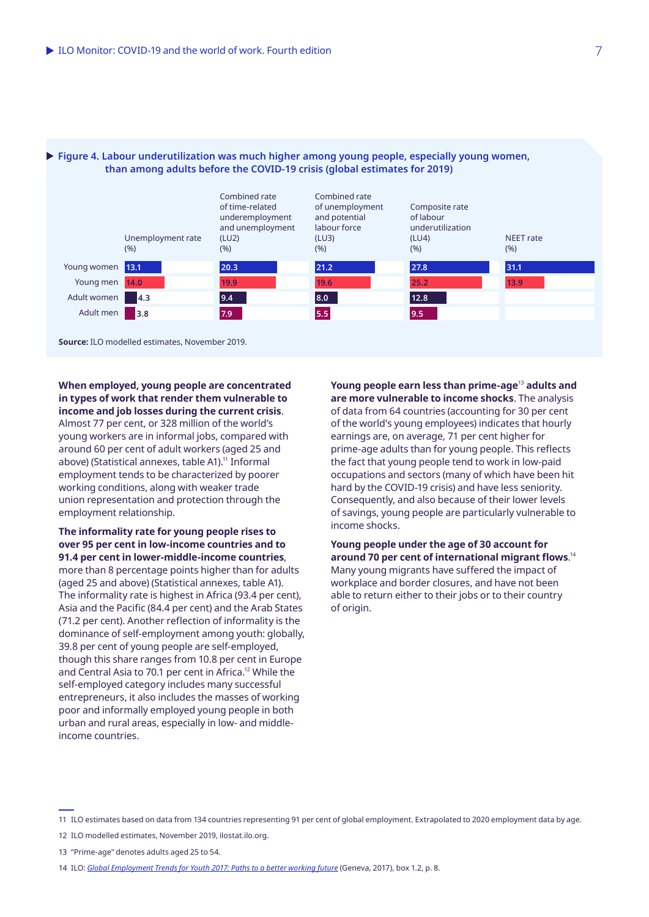

#### ▶ Figure 4. Labour underutilization was much higher among young people, especially young women, **than among adults before the COVID‑19 crisis (global estimates for 2019)**

**When employed, young people are concentrated in types of work that render them vulnerable to income and job losses during the current crisis**.

Almost 77 per cent, or 328 million of the world's young workers are in informal jobs, compared with around 60 per cent of adult workers (aged 25 and above) (Statistical annexes, table A1).<sup>11</sup> Informal employment tends to be characterized by poorer working conditions, along with weaker trade union representation and protection through the employment relationship.

#### **The informality rate for young people rises to over 95 per cent in low-income countries and to 91.4 per cent in lower-middle-income countries**,

more than 8 percentage points higher than for adults (aged 25 and above) (Statistical annexes, table A1). The informality rate is highest in Africa (93.4 per cent), Asia and the Pacific (84.4 per cent) and the Arab States (71.2 per cent). Another reflection of informality is the dominance of self-employment among youth: globally, 39.8 per cent of young people are self-employed, though this share ranges from 10.8 per cent in Europe and Central Asia to 70.1 per cent in Africa.<sup>12</sup> While the self-employed category includes many successful entrepreneurs, it also includes the masses of working poor and informally employed young people in both urban and rural areas, especially in low- and middleincome countries.

**Young people earn less than prime-age**<sup>13</sup> **adults and are more vulnerable to income shocks**. The analysis of data from 64 countries (accounting for 30 per cent of the world's young employees) indicates that hourly earnings are, on average, 71 per cent higher for prime-age adults than for young people. This reflects the fact that young people tend to work in low-paid occupations and sectors (many of which have been hit hard by the COVID-19 crisis) and have less seniority. Consequently, and also because of their lower levels of savings, young people are particularly vulnerable to income shocks.

**Young people under the age of 30 account for around 70 per cent of international migrant flows**. 14 Many young migrants have suffered the impact of workplace and border closures, and have not been able to return either to their jobs or to their country of origin.

<sup>11</sup> ILO estimates based on data from 134 countries representing 91 per cent of global employment. Extrapolated to 2020 employment data by age.

<sup>12</sup> ILO modelled estimates, November 2019, ilostat.ilo.org.

<sup>13</sup> "Prime-age" denotes adults aged 25 to 54.

<sup>14</sup> ILO: *[Global Employment Trends for Youth 2017: Paths to a better working future](https://www.ilo.org/global/publications/books/global-employment-trends/WCMS_598669/lang--en/index.htm)* (Geneva, 2017), box 1.2, p. 8.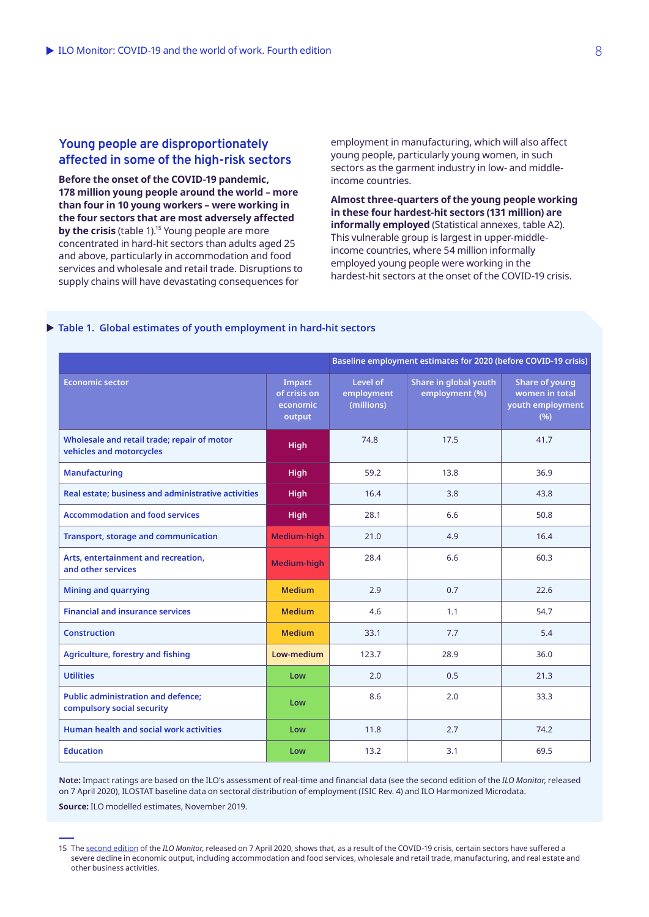### **Young people are disproportionately affected in some of the high-risk sectors**

**Before the onset of the COVID‑19 pandemic, 178 million young people around the world – more than four in 10 young workers – were working in the four sectors that are most adversely affected by the crisis** (table 1).<sup>15</sup> Young people are more concentrated in hard-hit sectors than adults aged 25 and above, particularly in accommodation and food services and wholesale and retail trade. Disruptions to supply chains will have devastating consequences for

employment in manufacturing, which will also affect young people, particularly young women, in such sectors as the garment industry in low- and middleincome countries.

**Almost three-quarters of the young people working in these four hardest-hit sectors (131 million) are informally employed** (Statistical annexes, table A2). This vulnerable group is largest in upper-middleincome countries, where 54 million informally employed young people were working in the hardest-hit sectors at the onset of the COVID-19 crisis.

### X **Table 1. Global estimates of youth employment in hard-hit sectors**

|                                                                         |                                              | Baseline employment estimates for 2020 (before COVID-19 crisis) |                                         |                                                                     |  |  |
|-------------------------------------------------------------------------|----------------------------------------------|-----------------------------------------------------------------|-----------------------------------------|---------------------------------------------------------------------|--|--|
| <b>Economic sector</b>                                                  | Impact<br>of crisis on<br>economic<br>output | Level of<br>employment<br>(millions)                            | Share in global youth<br>employment (%) | <b>Share of young</b><br>women in total<br>youth employment<br>(% ) |  |  |
| Wholesale and retail trade; repair of motor<br>vehicles and motorcycles | <b>High</b>                                  | 74.8                                                            | 17.5                                    | 41.7                                                                |  |  |
| <b>Manufacturing</b>                                                    | <b>High</b>                                  | 59.2                                                            | 13.8                                    | 36.9                                                                |  |  |
| Real estate; business and administrative activities                     | <b>High</b>                                  | 16.4                                                            | 3.8                                     | 43.8                                                                |  |  |
| <b>Accommodation and food services</b>                                  | <b>High</b>                                  | 28.1                                                            | 6.6                                     | 50.8                                                                |  |  |
| <b>Transport, storage and communication</b>                             | Medium-high                                  | 21.0                                                            | 4.9                                     | 16.4                                                                |  |  |
| Arts, entertainment and recreation,<br>and other services               | Medium-high                                  | 28.4                                                            | 6.6                                     | 60.3                                                                |  |  |
| <b>Mining and quarrying</b>                                             | <b>Medium</b>                                | 2.9                                                             | 0.7                                     | 22.6                                                                |  |  |
| <b>Financial and insurance services</b>                                 | <b>Medium</b>                                | 4.6                                                             | 1.1                                     | 54.7                                                                |  |  |
| <b>Construction</b>                                                     | <b>Medium</b>                                | 33.1                                                            | 7.7                                     | 5.4                                                                 |  |  |
| <b>Agriculture, forestry and fishing</b>                                | Low-medium                                   | 123.7                                                           | 28.9                                    | 36.0                                                                |  |  |
| <b>Utilities</b>                                                        | Low                                          | 2.0                                                             | 0.5                                     | 21.3                                                                |  |  |
| <b>Public administration and defence;</b><br>compulsory social security | Low                                          | 8.6                                                             | 2.0                                     | 33.3                                                                |  |  |
| <b>Human health and social work activities</b>                          | Low                                          | 11.8                                                            | 2.7                                     | 74.2                                                                |  |  |
| <b>Education</b>                                                        | Low                                          | 13.2                                                            | 3.1                                     | 69.5                                                                |  |  |

**Note:** Impact ratings are based on the ILO's assessment of real-time and financial data (see the second edition of the *ILO Monitor*, released on 7 April 2020), ILOSTAT baseline data on sectoral distribution of employment (ISIC Rev. 4) and ILO Harmonized Microdata.

**Source:** ILO modelled estimates, November 2019.

<sup>15</sup> The [second edition](https://www.ilo.org/global/about-the-ilo/WCMS_740877/lang--ja/index.htm) of the *ILO Monitor*, released on 7 April 2020, shows that, as a result of the COVID‑19 crisis, certain sectors have suffered a severe decline in economic output, including accommodation and food services, wholesale and retail trade, manufacturing, and real estate and other business activities.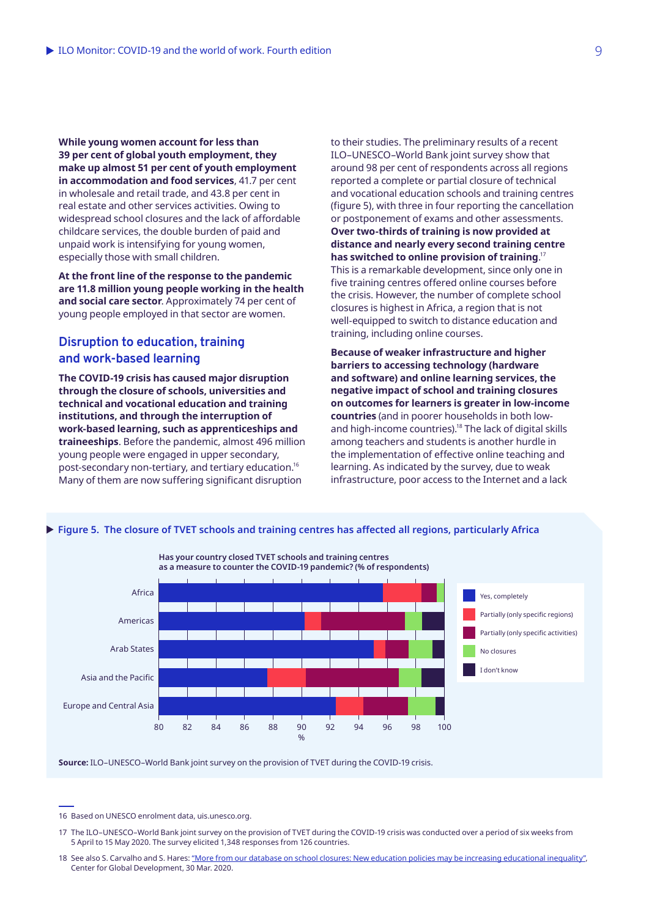**While young women account for less than 39 per cent of global youth employment, they make up almost 51 per cent of youth employment in accommodation and food services**, 41.7 per cent in wholesale and retail trade, and 43.8 per cent in real estate and other services activities. Owing to widespread school closures and the lack of affordable childcare services, the double burden of paid and unpaid work is intensifying for young women, especially those with small children.

**At the front line of the response to the pandemic are 11.8 million young people working in the health and social care sector**. Approximately 74 per cent of young people employed in that sector are women.

# **Disruption to education, training and work-based learning**

**The COVID‑19 crisis has caused major disruption through the closure of schools, universities and technical and vocational education and training institutions, and through the interruption of work-based learning, such as apprenticeships and traineeships**. Before the pandemic, almost 496 million young people were engaged in upper secondary, post-secondary non-tertiary, and tertiary education.16 Many of them are now suffering significant disruption

to their studies. The preliminary results of a recent ILO–UNESCO–World Bank joint survey show that around 98 per cent of respondents across all regions reported a complete or partial closure of technical and vocational education schools and training centres (figure 5), with three in four reporting the cancellation or postponement of exams and other assessments. **Over two-thirds of training is now provided at distance and nearly every second training centre has switched to online provision of training**. 17 This is a remarkable development, since only one in five training centres offered online courses before the crisis. However, the number of complete school closures is highest in Africa, a region that is not well-equipped to switch to distance education and training, including online courses.

**Because of weaker infrastructure and higher barriers to accessing technology (hardware and software) and online learning services, the negative impact of school and training closures on outcomes for learners is greater in low-income countries** (and in poorer households in both lowand high-income countries).<sup>18</sup> The lack of digital skills among teachers and students is another hurdle in the implementation of effective online teaching and learning. As indicated by the survey, due to weak infrastructure, poor access to the Internet and a lack



**Source:** ILO–UNESCO–World Bank joint survey on the provision of TVET during the COVID‑19 crisis.

<sup>16</sup> Based on UNESCO enrolment data, uis.unesco.org.

<sup>17</sup> The ILO-UNESCO-World Bank joint survey on the provision of TVET during the COVID-19 crisis was conducted over a period of six weeks from 5 April to 15 May 2020. The survey elicited 1,348 responses from 126 countries.

<sup>18</sup> See also S. Carvalho and S. Hares: ["More from our database on school closures: New education policies may be increasing educational inequality"](https://www.cgdev.org/blog/more-our-database-school-closures-new-education-policies-may-be-increasing-educational), Center for Global Development, 30 Mar. 2020.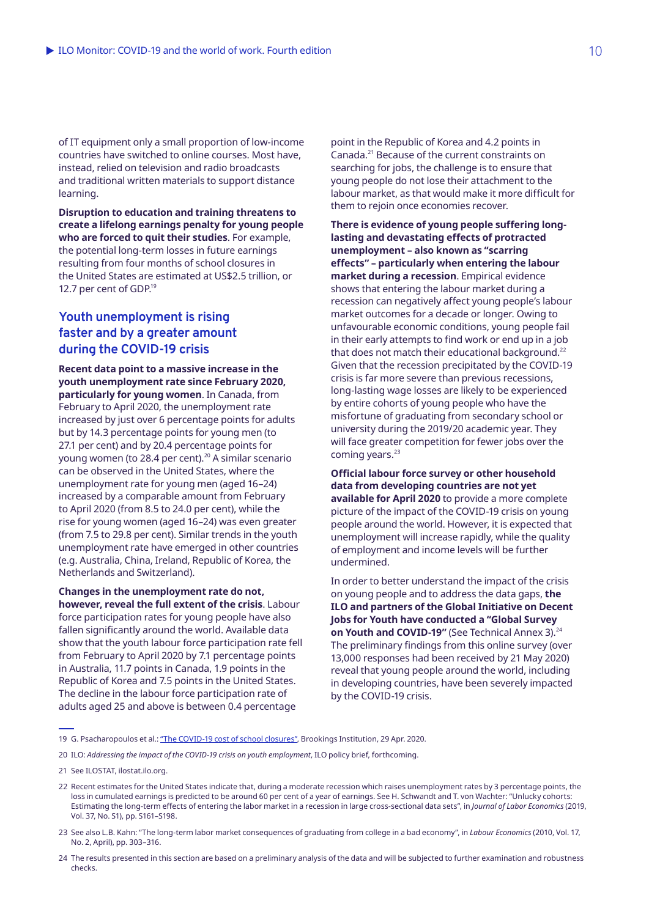of IT equipment only a small proportion of low-income countries have switched to online courses. Most have, instead, relied on television and radio broadcasts and traditional written materials to support distance learning.

**Disruption to education and training threatens to create a lifelong earnings penalty for young people who are forced to quit their studies**. For example, the potential long-term losses in future earnings resulting from four months of school closures in the United States are estimated at US\$2.5 trillion, or 12.7 per cent of GDP.<sup>19</sup>

## **Youth unemployment is rising faster and by a greater amount during the COVID-19 crisis**

**Recent data point to a massive increase in the youth unemployment rate since February 2020, particularly for young women**. In Canada, from February to April 2020, the unemployment rate increased by just over 6 percentage points for adults but by 14.3 percentage points for young men (to 27.1 per cent) and by 20.4 percentage points for young women (to 28.4 per cent).<sup>20</sup> A similar scenario can be observed in the United States, where the unemployment rate for young men (aged 16–24) increased by a comparable amount from February to April 2020 (from 8.5 to 24.0 per cent), while the rise for young women (aged 16–24) was even greater (from 7.5 to 29.8 per cent). Similar trends in the youth unemployment rate have emerged in other countries (e.g. Australia, China, Ireland, Republic of Korea, the Netherlands and Switzerland).

**Changes in the unemployment rate do not, however, reveal the full extent of the crisis**. Labour force participation rates for young people have also fallen significantly around the world. Available data show that the youth labour force participation rate fell from February to April 2020 by 7.1 percentage points in Australia, 11.7 points in Canada, 1.9 points in the Republic of Korea and 7.5 points in the United States. The decline in the labour force participation rate of adults aged 25 and above is between 0.4 percentage

point in the Republic of Korea and 4.2 points in Canada.21 Because of the current constraints on searching for jobs, the challenge is to ensure that young people do not lose their attachment to the labour market, as that would make it more difficult for them to rejoin once economies recover.

**There is evidence of young people suffering longlasting and devastating effects of protracted unemployment – also known as "scarring effects" – particularly when entering the labour market during a recession**. Empirical evidence shows that entering the labour market during a recession can negatively affect young people's labour market outcomes for a decade or longer. Owing to unfavourable economic conditions, young people fail in their early attempts to find work or end up in a job that does not match their educational background.<sup>22</sup> Given that the recession precipitated by the COVID‑19 crisis is far more severe than previous recessions, long-lasting wage losses are likely to be experienced by entire cohorts of young people who have the misfortune of graduating from secondary school or university during the 2019/20 academic year. They will face greater competition for fewer jobs over the coming years. $23$ 

**Official labour force survey or other household data from developing countries are not yet available for April 2020** to provide a more complete picture of the impact of the COVID‑19 crisis on young people around the world. However, it is expected that unemployment will increase rapidly, while the quality of employment and income levels will be further undermined.

In order to better understand the impact of the crisis on young people and to address the data gaps, **the ILO and partners of the Global Initiative on Decent Jobs for Youth have conducted a "Global Survey**  on Youth and COVID-19" (See Technical Annex 3).<sup>24</sup> The preliminary findings from this online survey (over 13,000 responses had been received by 21 May 2020) reveal that young people around the world, including in developing countries, have been severely impacted by the COVID-19 crisis.

20 ILO: *Addressing the impact of the COVID-19 crisis on youth employment*, ILO policy brief, forthcoming.

- 22 Recent estimates for the United States indicate that, during a moderate recession which raises unemployment rates by 3 percentage points, the loss in cumulated earnings is predicted to be around 60 per cent of a year of earnings. See H. Schwandt and T. von Wachter: "Unlucky cohorts: Estimating the long-term effects of entering the labor market in a recession in large cross-sectional data sets", in *Journal of Labor Economics* (2019, Vol. 37, No. S1), pp. S161–S198.
- 23 See also L.B. Kahn: "The long-term labor market consequences of graduating from college in a bad economy", in *Labour Economics* (2010, Vol. 17, No. 2, April), pp. 303–316.
- 24 The results presented in this section are based on a preliminary analysis of the data and will be subjected to further examination and robustness checks.

<sup>19</sup> G. Psacharopoulos et al.: "The COVID-19 cost of school closures", Brookings Institution, 29 Apr. 2020.

<sup>21</sup> See ILOSTAT, ilostat.ilo.org.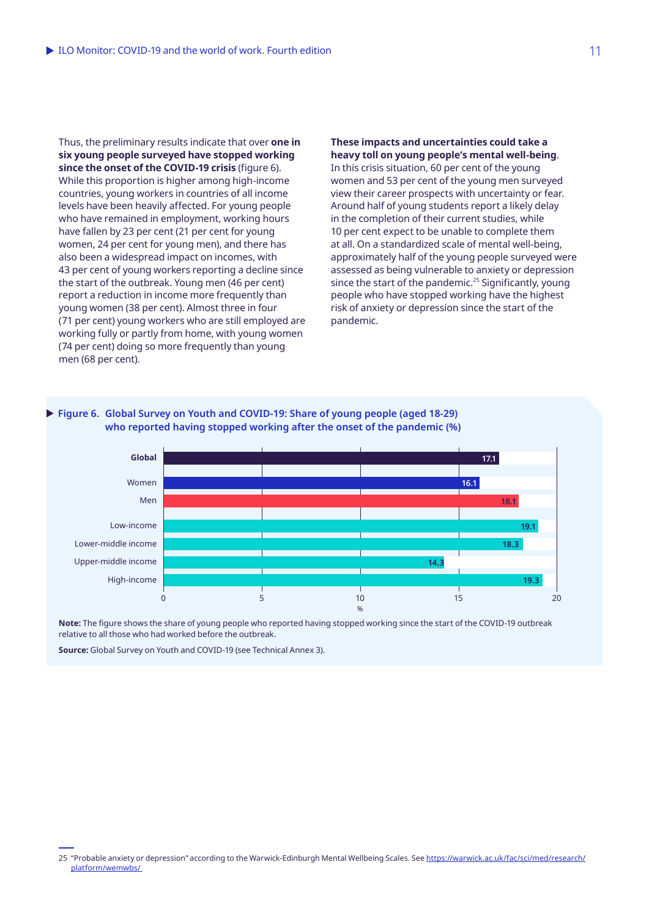Thus, the preliminary results indicate that over **one in six young people surveyed have stopped working since the onset of the COVID‑19 crisis** (figure 6). While this proportion is higher among high-income countries, young workers in countries of all income levels have been heavily affected. For young people who have remained in employment, working hours have fallen by 23 per cent (21 per cent for young women, 24 per cent for young men), and there has also been a widespread impact on incomes, with 43 per cent of young workers reporting a decline since the start of the outbreak. Young men (46 per cent) report a reduction in income more frequently than young women (38 per cent). Almost three in four (71 per cent) young workers who are still employed are working fully or partly from home, with young women (74 per cent) doing so more frequently than young men (68 per cent).

**These impacts and uncertainties could take a heavy toll on young people's mental well-being**. In this crisis situation, 60 per cent of the young

women and 53 per cent of the young men surveyed view their career prospects with uncertainty or fear. Around half of young students report a likely delay in the completion of their current studies, while 10 per cent expect to be unable to complete them at all. On a standardized scale of mental well-being, approximately half of the young people surveyed were assessed as being vulnerable to anxiety or depression since the start of the pandemic.<sup>25</sup> Significantly, young people who have stopped working have the highest risk of anxiety or depression since the start of the pandemic.



**Note:** The figure shows the share of young people who reported having stopped working since the start of the COVID‑19 outbreak relative to all those who had worked before the outbreak.

**Source:** Global Survey on Youth and COVID-19 (see Technical Annex 3).

<sup>25 &</sup>quot;Probable anxiety or depression" according to the Warwick-Edinburgh Mental Wellbeing Scales. See [https://warwick.ac.uk/fac/sci/med/research/](https://warwick.ac.uk/fac/sci/med/research/platform/wemwbs/) [platform/wemwbs/](https://warwick.ac.uk/fac/sci/med/research/platform/wemwbs/)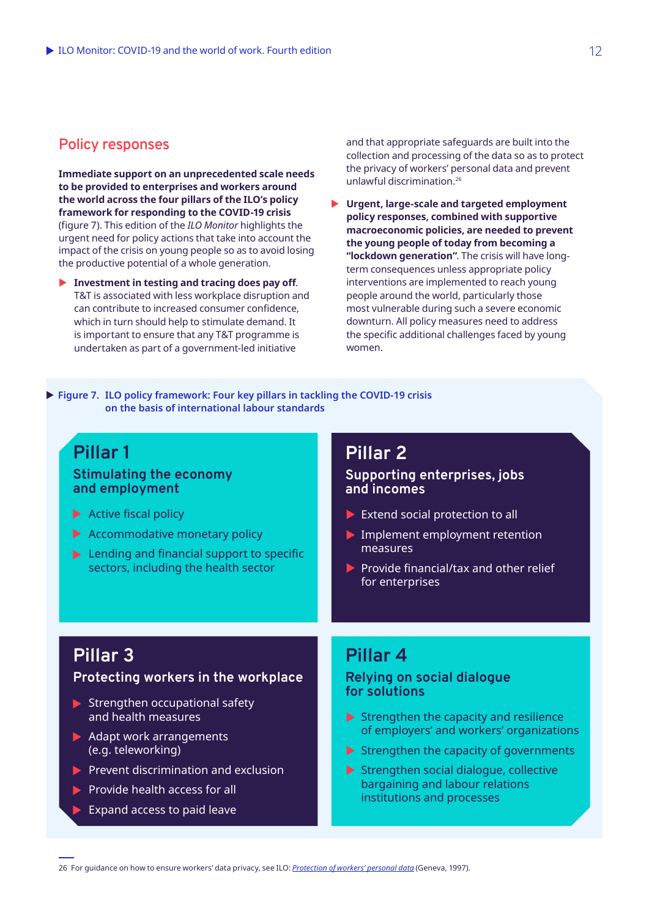## **Policy responses**

**Immediate support on an unprecedented scale needs to be provided to enterprises and workers around the world across the four pillars of the ILO's policy framework for responding to the COVID‑19 crisis**  (figure 7). This edition of the *ILO Monitor* highlights the urgent need for policy actions that take into account the impact of the crisis on young people so as to avoid losing the productive potential of a whole generation.

**Investment in testing and tracing does pay off.** T&T is associated with less workplace disruption and can contribute to increased consumer confidence, which in turn should help to stimulate demand. It is important to ensure that any T&T programme is undertaken as part of a government-led initiative

and that appropriate safeguards are built into the collection and processing of the data so as to protect the privacy of workers' personal data and prevent unlawful discrimination.26

▶ Urgent, large-scale and targeted employment **policy responses, combined with supportive macroeconomic policies, are needed to prevent the young people of today from becoming a "lockdown generation"**. The crisis will have longterm consequences unless appropriate policy interventions are implemented to reach young people around the world, particularly those most vulnerable during such a severe economic downturn. All policy measures need to address the specific additional challenges faced by young women.

▶ Figure 7. ILO policy framework: Four key pillars in tackling the COVID-19 crisis **on the basis of international labour standards**

# **Pillar 1**

### **Stimulating the economy and employment**

- $\blacktriangleright$  Active fiscal policy
- $\blacktriangleright$  Accommodative monetary policy
- $\blacktriangleright$  Lending and financial support to specific sectors, including the health sector

# **Pillar 2**

### **Supporting enterprises, jobs and incomes**

- $\blacktriangleright$  Extend social protection to all
- **Implement employment retention** measures
- $\blacktriangleright$  Provide financial/tax and other relief for enterprises

# **Pillar 3**

### **Protecting workers in the workplace**

- $\blacktriangleright$  Strengthen occupational safety and health measures
- $\blacktriangleright$  Adapt work arrangements (e.g. teleworking)
- $\blacktriangleright$  Prevent discrimination and exclusion
- $\blacktriangleright$  Provide health access for all
	- Expand access to paid leave

# **Pillar 4**

### **Relying on social dialogue for solutions**

- $\blacktriangleright$  Strengthen the capacity and resilience of employers' and workers' organizations
- $\blacktriangleright$  Strengthen the capacity of governments
- $\blacktriangleright$  Strengthen social dialogue, collective bargaining and labour relations institutions and processes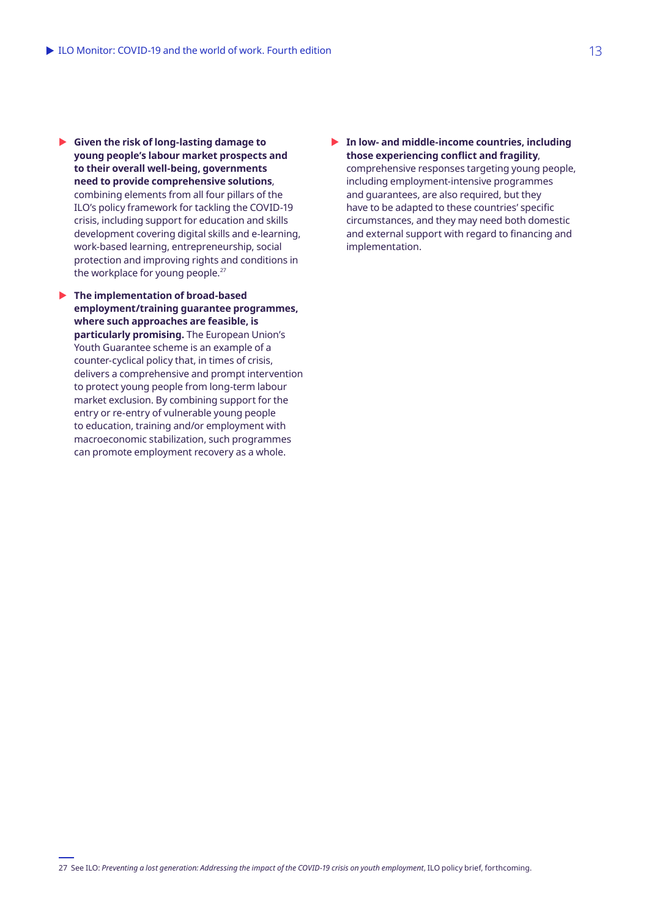- ▶ Given the risk of long-lasting damage to **young people's labour market prospects and to their overall well-being, governments need to provide comprehensive solutions**, combining elements from all four pillars of the ILO's policy framework for tackling the COVID‑19 crisis, including support for education and skills development covering digital skills and e-learning, work-based learning, entrepreneurship, social protection and improving rights and conditions in the workplace for young people.<sup>27</sup>
- **In The implementation of broad-based employment/training guarantee programmes, where such approaches are feasible, is particularly promising.** The European Union's Youth Guarantee scheme is an example of a counter-cyclical policy that, in times of crisis, delivers a comprehensive and prompt intervention to protect young people from long-term labour market exclusion. By combining support for the entry or re-entry of vulnerable young people to education, training and/or employment with macroeconomic stabilization, such programmes can promote employment recovery as a whole.
- ▶ In low- and middle-income countries, including **those experiencing conflict and fragility**, comprehensive responses targeting young people, including employment-intensive programmes and guarantees, are also required, but they have to be adapted to these countries' specific circumstances, and they may need both domestic and external support with regard to financing and implementation.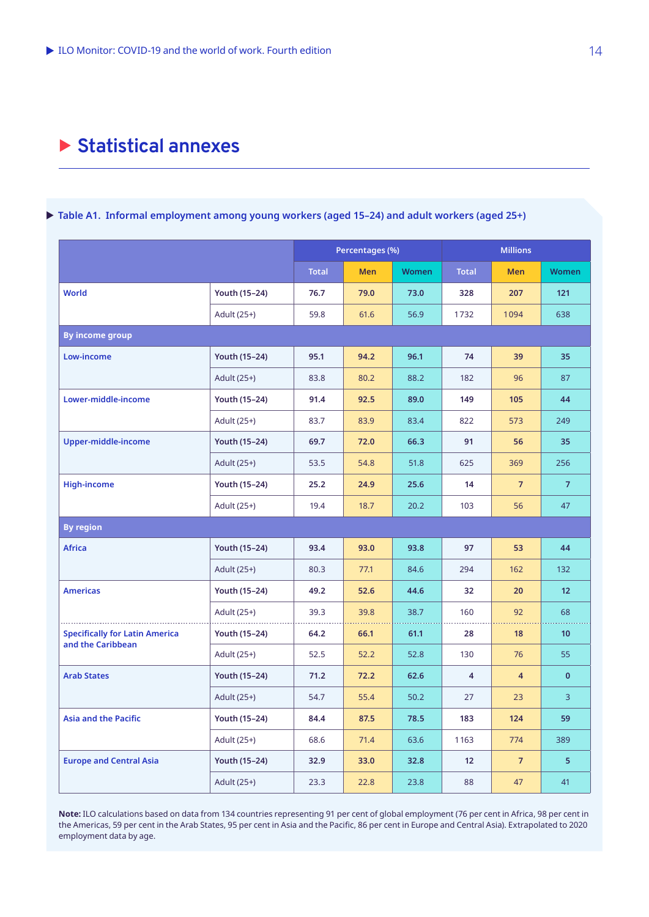# X **Statistical annexes**

### ▶ Table A1. Informal employment among young workers (aged 15-24) and adult workers (aged 25+)

|                                       |                      |              | Percentages (%) |              | <b>Millions</b> |                |                 |
|---------------------------------------|----------------------|--------------|-----------------|--------------|-----------------|----------------|-----------------|
|                                       |                      | <b>Total</b> | <b>Men</b>      | <b>Women</b> | <b>Total</b>    | <b>Men</b>     | <b>Women</b>    |
| <b>World</b>                          | Youth (15-24)        | 76.7         | 79.0            | 73.0         | 328             | 207            | 121             |
|                                       | Adult (25+)          | 59.8         | 61.6            | 56.9         | 1732            | 1094           | 638             |
| <b>By income group</b>                |                      |              |                 |              |                 |                |                 |
| Low-income                            | Youth (15-24)        | 95.1         | 94.2            | 96.1         | 74              | 39             | 35              |
|                                       | Adult (25+)          | 83.8         | 80.2            | 88.2         | 182             | 96             | 87              |
| Lower-middle-income                   | Youth (15-24)        | 91.4         | 92.5            | 89.0         | 149             | 105            | 44              |
|                                       | Adult (25+)          | 83.7         | 83.9            | 83.4         | 822             | 573            | 249             |
| Upper-middle-income                   | <b>Youth (15-24)</b> | 69.7         | 72.0            | 66.3         | 91              | 56             | 35              |
|                                       | Adult (25+)          | 53.5         | 54.8            | 51.8         | 625             | 369            | 256             |
| <b>High-income</b>                    | Youth (15-24)        | 25.2         | 24.9            | 25.6         | 14              | $\overline{7}$ | $\overline{7}$  |
|                                       | Adult (25+)          | 19.4         | 18.7            | 20.2         | 103             | 56             | 47              |
| <b>By region</b>                      |                      |              |                 |              |                 |                |                 |
| <b>Africa</b>                         | Youth (15-24)        | 93.4         | 93.0            | 93.8         | 97              | 53             | 44              |
|                                       | Adult (25+)          | 80.3         | 77.1            | 84.6         | 294             | 162            | 132             |
| <b>Americas</b>                       | Youth (15-24)        | 49.2         | 52.6            | 44.6         | 32              | 20             | 12 <sup>2</sup> |
|                                       | Adult (25+)          | 39.3         | 39.8            | 38.7         | 160             | 92             | 68              |
| <b>Specifically for Latin America</b> | Youth (15-24)        | 64.2         | 66.1            | 61.1         | 28              | 18             | 10 <sup>°</sup> |
| and the Caribbean                     | Adult (25+)          | 52.5         | 52.2            | 52.8         | 130             | 76             | 55              |
| <b>Arab States</b>                    | Youth (15-24)        | 71.2         | 72.2            | 62.6         | $\overline{4}$  | $\overline{4}$ | $\mathbf{0}$    |
|                                       | Adult (25+)          | 54.7         | 55.4            | 50.2         | 27              | 23             | $\overline{3}$  |
| <b>Asia and the Pacific</b>           | Youth (15-24)        | 84.4         | 87.5            | 78.5         | 183             | 124            | 59              |
|                                       | Adult (25+)          | 68.6         | 71.4            | 63.6         | 1163            | 774            | 389             |
| <b>Europe and Central Asia</b>        | Youth (15-24)        | 32.9         | 33.0            | 32.8         | 12 <sup>2</sup> | $\overline{7}$ | 5               |
|                                       | Adult (25+)          | 23.3         | 22.8            | 23.8         | 88              | 47             | 41              |

**Note:** ILO calculations based on data from 134 countries representing 91 per cent of global employment (76 per cent in Africa, 98 per cent in the Americas, 59 per cent in the Arab States, 95 per cent in Asia and the Pacific, 86 per cent in Europe and Central Asia). Extrapolated to 2020 employment data by age.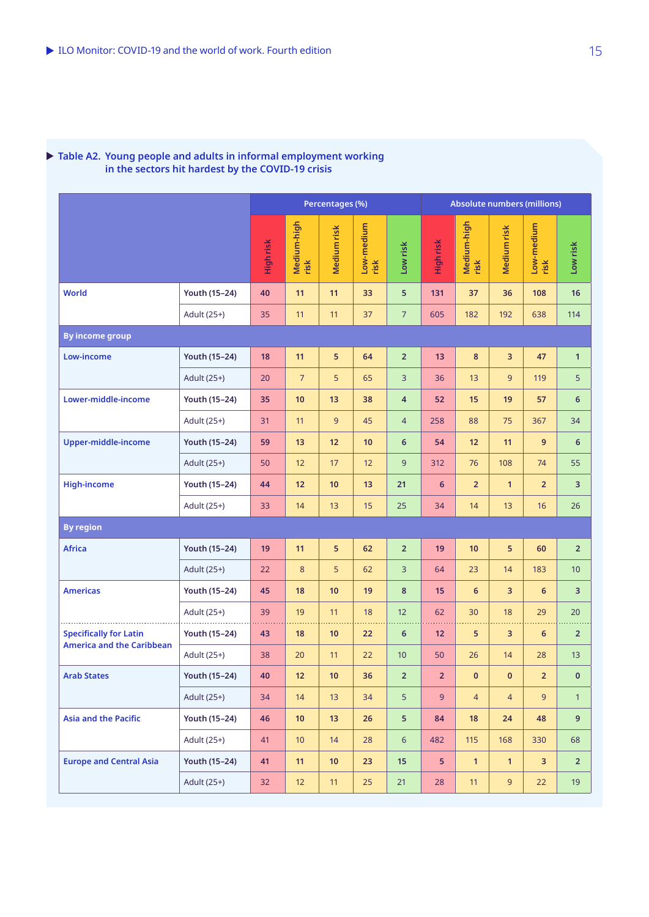#### X **Table A2. Young people and adults in informal employment working in the sectors hit hardest by the COVID-19 crisis**

|                                                                   |               | Percentages (%) |                     |             | <b>Absolute numbers (millions)</b> |                         |                |                     |                |                    |                 |
|-------------------------------------------------------------------|---------------|-----------------|---------------------|-------------|------------------------------------|-------------------------|----------------|---------------------|----------------|--------------------|-----------------|
|                                                                   |               | High risk       | Medium-high<br>risk | Medium risk | Low-medium<br>risk                 | Low risk                | High risk      | Medium-high<br>risk | Medium risk    | Low-medium<br>risk | Low risk        |
| <b>World</b>                                                      | Youth (15-24) | 40              | 11                  | 11          | 33                                 | 5                       | 131            | 37                  | 36             | 108                | 16              |
|                                                                   | Adult (25+)   | 35              | 11                  | 11          | 37                                 | $\overline{7}$          | 605            | 182                 | 192            | 638                | 114             |
| <b>By income group</b>                                            |               |                 |                     |             |                                    |                         |                |                     |                |                    |                 |
| Low-income                                                        | Youth (15-24) | 18              | 11                  | 5           | 64                                 | $\overline{2}$          | 13             | 8                   | 3              | 47                 | $\mathbf{1}$    |
|                                                                   | Adult (25+)   | 20              | $\overline{7}$      | 5           | 65                                 | 3                       | 36             | 13                  | 9              | 119                | $5\phantom{.}$  |
| Lower-middle-income                                               | Youth (15-24) | 35              | 10                  | 13          | 38                                 | $\overline{\mathbf{4}}$ | 52             | 15                  | 19             | 57                 | 6               |
|                                                                   | Adult (25+)   | 31              | 11                  | 9           | 45                                 | $\overline{4}$          | 258            | 88                  | 75             | 367                | 34              |
| Upper-middle-income                                               | Youth (15-24) | 59              | 13                  | 12          | 10                                 | 6                       | 54             | 12                  | 11             | 9                  | 6               |
|                                                                   | Adult (25+)   | 50              | 12                  | 17          | 12                                 | 9                       | 312            | 76                  | 108            | 74                 | 55              |
| <b>High-income</b>                                                | Youth (15-24) | 44              | 12                  | 10          | 13                                 | 21                      | 6              | $\overline{2}$      | $\mathbf{1}$   | 2 <sup>2</sup>     | 3               |
|                                                                   | Adult (25+)   | 33              | 14                  | 13          | 15                                 | 25                      | 34             | 14                  | 13             | 16                 | 26              |
| <b>By region</b>                                                  |               |                 |                     |             |                                    |                         |                |                     |                |                    |                 |
| <b>Africa</b>                                                     | Youth (15-24) | 19              | 11                  | 5           | 62                                 | $\mathbf 2$             | 19             | 10                  | 5              | 60                 | $\overline{2}$  |
|                                                                   | Adult (25+)   | 22              | 8                   | 5           | 62                                 | 3                       | 64             | 23                  | 14             | 183                | 10 <sup>°</sup> |
| <b>Americas</b>                                                   | Youth (15-24) | 45              | 18                  | 10          | 19                                 | 8                       | 15             | 6                   | 3              | $6\phantom{1}$     | 3               |
|                                                                   | Adult (25+)   | 39              | 19                  | 11          | 18                                 | 12                      | 62             | 30                  | 18             | 29                 | 20              |
| <b>Specifically for Latin</b><br><b>America and the Caribbean</b> | Youth (15-24) | 43              | 18                  | 10          | 22                                 | $6\phantom{1}$          | 12             | 5                   | 3              | 6                  | $\overline{2}$  |
|                                                                   | Adult (25+)   | 38              | 20                  | 11          | 22                                 | 10                      | 50             | 26                  | 14             | 28                 | 13              |
| <b>Arab States</b>                                                | Youth (15-24) | 40              | 12                  | 10          | 36                                 | $\overline{2}$          | 2 <sup>1</sup> | $\mathbf{0}$        | $\mathbf{0}$   | 2 <sup>2</sup>     | $\mathbf 0$     |
|                                                                   | Adult (25+)   | 34              | 14                  | 13          | 34                                 | 5                       | 9              | $\overline{4}$      | $\overline{4}$ | 9 <sup>°</sup>     | $\mathbf{1}$    |
| <b>Asia and the Pacific</b>                                       | Youth (15-24) | 46              | 10 <sub>1</sub>     | 13          | 26                                 | 5                       | 84             | 18                  | 24             | 48                 | 9               |
|                                                                   | Adult (25+)   | 41              | $10$                | 14          | 28                                 | $\sqrt{6}$              | 482            | 115                 | 168            | 330                | 68              |
| <b>Europe and Central Asia</b>                                    | Youth (15-24) | 41              | 11                  | $10$        | 23                                 | 15                      | 5              | $\mathbf{1}$        | $\mathbf{1}$   | $\mathbf{3}$       | $\overline{2}$  |
|                                                                   | Adult (25+)   | 32              | 12                  | 11          | 25                                 | 21                      | 28             | 11                  | 9 <sup>°</sup> | 22                 | 19              |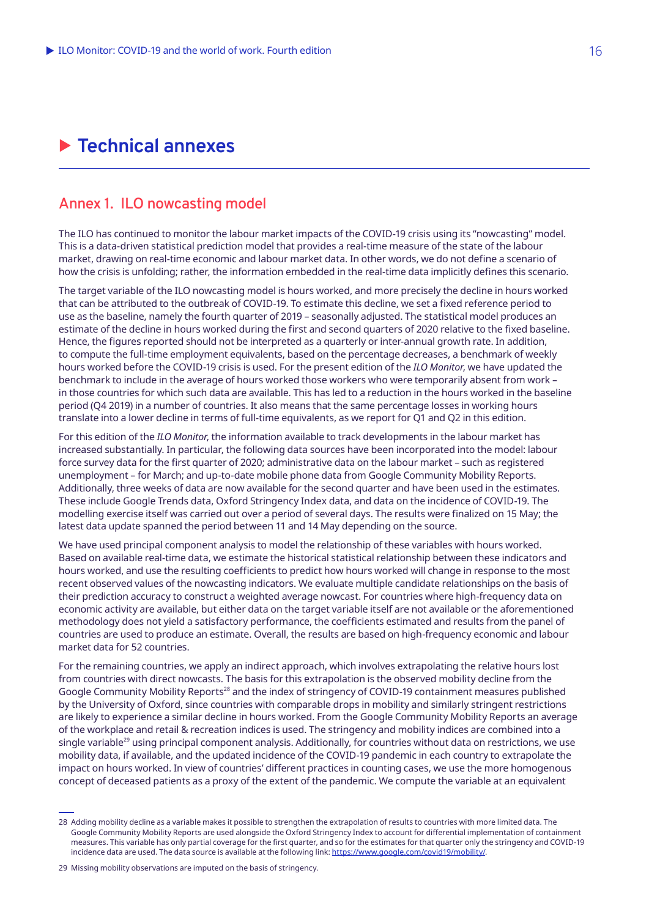# X **Technical annexes**

# **Annex 1. ILO nowcasting model**

The ILO has continued to monitor the labour market impacts of the COVID-19 crisis using its "nowcasting" model. This is a data-driven statistical prediction model that provides a real-time measure of the state of the labour market, drawing on real-time economic and labour market data. In other words, we do not define a scenario of how the crisis is unfolding; rather, the information embedded in the real-time data implicitly defines this scenario.

The target variable of the ILO nowcasting model is hours worked, and more precisely the decline in hours worked that can be attributed to the outbreak of COVID-19. To estimate this decline, we set a fixed reference period to use as the baseline, namely the fourth quarter of 2019 – seasonally adjusted. The statistical model produces an estimate of the decline in hours worked during the first and second quarters of 2020 relative to the fixed baseline. Hence, the figures reported should not be interpreted as a quarterly or inter-annual growth rate. In addition, to compute the full-time employment equivalents, based on the percentage decreases, a benchmark of weekly hours worked before the COVID‑19 crisis is used. For the present edition of the *ILO Monitor*, we have updated the benchmark to include in the average of hours worked those workers who were temporarily absent from work – in those countries for which such data are available. This has led to a reduction in the hours worked in the baseline period (Q4 2019) in a number of countries. It also means that the same percentage losses in working hours translate into a lower decline in terms of full-time equivalents, as we report for Q1 and Q2 in this edition.

For this edition of the *ILO Monitor*, the information available to track developments in the labour market has increased substantially. In particular, the following data sources have been incorporated into the model: labour force survey data for the first quarter of 2020; administrative data on the labour market – such as registered unemployment – for March; and up-to-date mobile phone data from Google Community Mobility Reports. Additionally, three weeks of data are now available for the second quarter and have been used in the estimates. These include Google Trends data, Oxford Stringency Index data, and data on the incidence of COVID‑19. The modelling exercise itself was carried out over a period of several days. The results were finalized on 15 May; the latest data update spanned the period between 11 and 14 May depending on the source.

We have used principal component analysis to model the relationship of these variables with hours worked. Based on available real-time data, we estimate the historical statistical relationship between these indicators and hours worked, and use the resulting coefficients to predict how hours worked will change in response to the most recent observed values of the nowcasting indicators. We evaluate multiple candidate relationships on the basis of their prediction accuracy to construct a weighted average nowcast. For countries where high-frequency data on economic activity are available, but either data on the target variable itself are not available or the aforementioned methodology does not yield a satisfactory performance, the coefficients estimated and results from the panel of countries are used to produce an estimate. Overall, the results are based on high-frequency economic and labour market data for 52 countries.

For the remaining countries, we apply an indirect approach, which involves extrapolating the relative hours lost from countries with direct nowcasts. The basis for this extrapolation is the observed mobility decline from the Google Community Mobility Reports<sup>28</sup> and the index of stringency of COVID-19 containment measures published by the University of Oxford, since countries with comparable drops in mobility and similarly stringent restrictions are likely to experience a similar decline in hours worked. From the Google Community Mobility Reports an average of the workplace and retail & recreation indices is used. The stringency and mobility indices are combined into a single variable<sup>29</sup> using principal component analysis. Additionally, for countries without data on restrictions, we use mobility data, if available, and the updated incidence of the COVID‑19 pandemic in each country to extrapolate the impact on hours worked. In view of countries' different practices in counting cases, we use the more homogenous concept of deceased patients as a proxy of the extent of the pandemic. We compute the variable at an equivalent

<sup>28</sup> Adding mobility decline as a variable makes it possible to strengthen the extrapolation of results to countries with more limited data. The Google Community Mobility Reports are used alongside the Oxford Stringency Index to account for differential implementation of containment measures. This variable has only partial coverage for the first quarter, and so for the estimates for that quarter only the stringency and COVID‑19 incidence data are used. The data source is available at the following link: <https://www.google.com/covid19/mobility/>.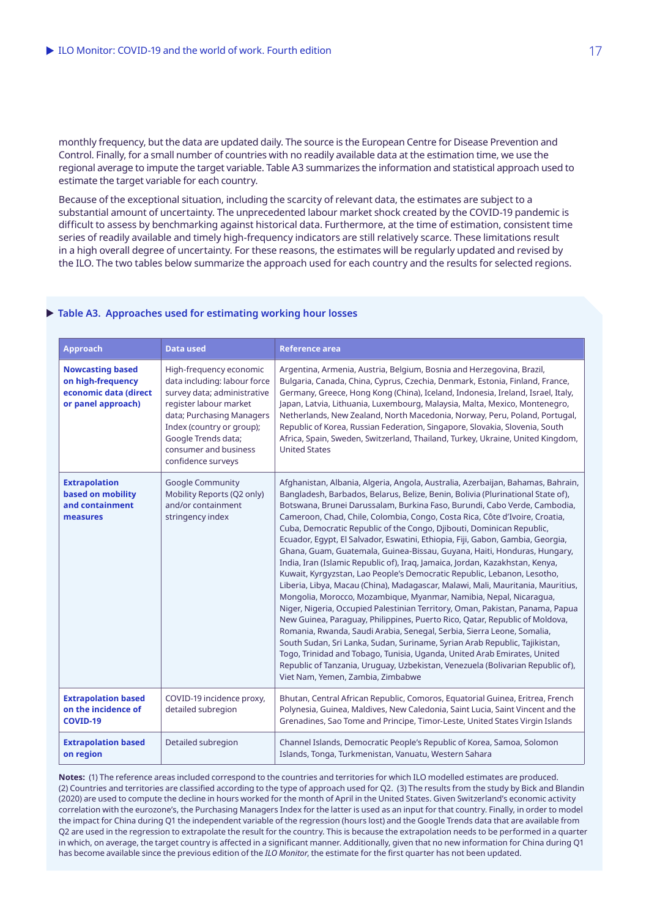monthly frequency, but the data are updated daily. The source is the European Centre for Disease Prevention and Control. Finally, for a small number of countries with no readily available data at the estimation time, we use the regional average to impute the target variable. Table A3 summarizes the information and statistical approach used to estimate the target variable for each country.

Because of the exceptional situation, including the scarcity of relevant data, the estimates are subject to a substantial amount of uncertainty. The unprecedented labour market shock created by the COVID-19 pandemic is difficult to assess by benchmarking against historical data. Furthermore, at the time of estimation, consistent time series of readily available and timely high-frequency indicators are still relatively scarce. These limitations result in a high overall degree of uncertainty. For these reasons, the estimates will be regularly updated and revised by the ILO. The two tables below summarize the approach used for each country and the results for selected regions.

#### X **Table A3. Approaches used for estimating working hour losses**

| <b>Approach</b>                                                                             | <b>Data used</b>                                                                                                                                                                                                                                 | <b>Reference area</b>                                                                                                                                                                                                                                                                                                                                                                                                                                                                                                                                                                                                                                                                                                                                                                                                                                                                                                                                                                                                                                                                                                                                                                                                                                                                                                                                                                                                |
|---------------------------------------------------------------------------------------------|--------------------------------------------------------------------------------------------------------------------------------------------------------------------------------------------------------------------------------------------------|----------------------------------------------------------------------------------------------------------------------------------------------------------------------------------------------------------------------------------------------------------------------------------------------------------------------------------------------------------------------------------------------------------------------------------------------------------------------------------------------------------------------------------------------------------------------------------------------------------------------------------------------------------------------------------------------------------------------------------------------------------------------------------------------------------------------------------------------------------------------------------------------------------------------------------------------------------------------------------------------------------------------------------------------------------------------------------------------------------------------------------------------------------------------------------------------------------------------------------------------------------------------------------------------------------------------------------------------------------------------------------------------------------------------|
| <b>Nowcasting based</b><br>on high-frequency<br>economic data (direct<br>or panel approach) | High-frequency economic<br>data including: labour force<br>survey data; administrative<br>register labour market<br>data; Purchasing Managers<br>Index (country or group);<br>Google Trends data;<br>consumer and business<br>confidence surveys | Argentina, Armenia, Austria, Belgium, Bosnia and Herzegovina, Brazil,<br>Bulgaria, Canada, China, Cyprus, Czechia, Denmark, Estonia, Finland, France,<br>Germany, Greece, Hong Kong (China), Iceland, Indonesia, Ireland, Israel, Italy,<br>Japan, Latvia, Lithuania, Luxembourg, Malaysia, Malta, Mexico, Montenegro,<br>Netherlands, New Zealand, North Macedonia, Norway, Peru, Poland, Portugal,<br>Republic of Korea, Russian Federation, Singapore, Slovakia, Slovenia, South<br>Africa, Spain, Sweden, Switzerland, Thailand, Turkey, Ukraine, United Kingdom,<br><b>United States</b>                                                                                                                                                                                                                                                                                                                                                                                                                                                                                                                                                                                                                                                                                                                                                                                                                        |
| <b>Extrapolation</b><br>based on mobility<br>and containment<br>measures                    | <b>Google Community</b><br>Mobility Reports (Q2 only)<br>and/or containment<br>stringency index                                                                                                                                                  | Afghanistan, Albania, Algeria, Angola, Australia, Azerbaijan, Bahamas, Bahrain,<br>Bangladesh, Barbados, Belarus, Belize, Benin, Bolivia (Plurinational State of),<br>Botswana, Brunei Darussalam, Burkina Faso, Burundi, Cabo Verde, Cambodia,<br>Cameroon, Chad, Chile, Colombia, Congo, Costa Rica, Côte d'Ivoire, Croatia,<br>Cuba, Democratic Republic of the Congo, Djibouti, Dominican Republic,<br>Ecuador, Eqypt, El Salvador, Eswatini, Ethiopia, Fiji, Gabon, Gambia, Georgia,<br>Ghana, Guam, Guatemala, Guinea-Bissau, Guyana, Haiti, Honduras, Hungary,<br>India, Iran (Islamic Republic of), Iraq, Jamaica, Jordan, Kazakhstan, Kenya,<br>Kuwait, Kyrgyzstan, Lao People's Democratic Republic, Lebanon, Lesotho,<br>Liberia, Libya, Macau (China), Madagascar, Malawi, Mali, Mauritania, Mauritius,<br>Mongolia, Morocco, Mozambique, Myanmar, Namibia, Nepal, Nicaraqua,<br>Niger, Nigeria, Occupied Palestinian Territory, Oman, Pakistan, Panama, Papua<br>New Guinea, Paraguay, Philippines, Puerto Rico, Qatar, Republic of Moldova,<br>Romania, Rwanda, Saudi Arabia, Senegal, Serbia, Sierra Leone, Somalia,<br>South Sudan, Sri Lanka, Sudan, Suriname, Syrian Arab Republic, Tajikistan,<br>Togo, Trinidad and Tobago, Tunisia, Uganda, United Arab Emirates, United<br>Republic of Tanzania, Uruguay, Uzbekistan, Venezuela (Bolivarian Republic of),<br>Viet Nam, Yemen, Zambia, Zimbabwe |
| <b>Extrapolation based</b><br>on the incidence of<br><b>COVID-19</b>                        | COVID-19 incidence proxy,<br>detailed subregion                                                                                                                                                                                                  | Bhutan, Central African Republic, Comoros, Equatorial Guinea, Eritrea, French<br>Polynesia, Guinea, Maldives, New Caledonia, Saint Lucia, Saint Vincent and the<br>Grenadines, Sao Tome and Principe, Timor-Leste, United States Virgin Islands                                                                                                                                                                                                                                                                                                                                                                                                                                                                                                                                                                                                                                                                                                                                                                                                                                                                                                                                                                                                                                                                                                                                                                      |
| <b>Extrapolation based</b><br>on region                                                     | Detailed subregion                                                                                                                                                                                                                               | Channel Islands, Democratic People's Republic of Korea, Samoa, Solomon<br>Islands, Tonga, Turkmenistan, Vanuatu, Western Sahara                                                                                                                                                                                                                                                                                                                                                                                                                                                                                                                                                                                                                                                                                                                                                                                                                                                                                                                                                                                                                                                                                                                                                                                                                                                                                      |

**Notes:** (1) The reference areas included correspond to the countries and territories for which ILO modelled estimates are produced. (2) Countries and territories are classified according to the type of approach used for Q2. (3) The results from the study by Bick and Blandin (2020) are used to compute the decline in hours worked for the month of April in the United States. Given Switzerland's economic activity correlation with the eurozone's, the Purchasing Managers Index for the latter is used as an input for that country. Finally, in order to model the impact for China during Q1 the independent variable of the regression (hours lost) and the Google Trends data that are available from Q2 are used in the regression to extrapolate the result for the country. This is because the extrapolation needs to be performed in a quarter in which, on average, the target country is affected in a significant manner. Additionally, given that no new information for China during Q1 has become available since the previous edition of the *ILO Monitor*, the estimate for the first quarter has not been updated.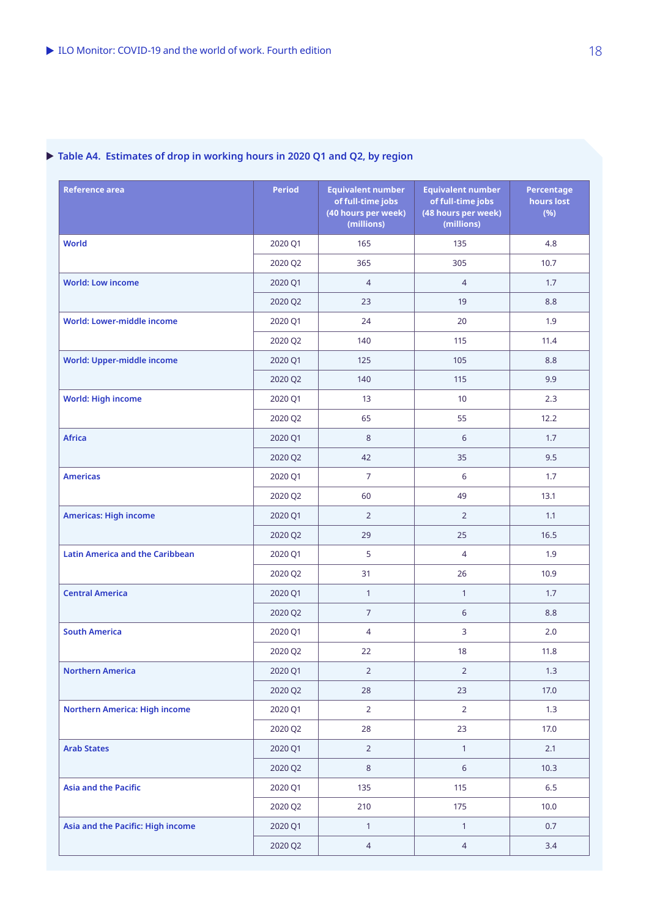# X **Table A4. Estimates of drop in working hours in 2020 Q1 and Q2, by region**

| <b>Reference area</b>                  | <b>Period</b> | <b>Equivalent number</b><br>of full-time jobs<br>(40 hours per week)<br>(millions) | <b>Equivalent number</b><br>of full-time jobs<br>(48 hours per week)<br>(millions) | <b>Percentage</b><br>hours lost<br>(%) |
|----------------------------------------|---------------|------------------------------------------------------------------------------------|------------------------------------------------------------------------------------|----------------------------------------|
| <b>World</b>                           | 2020 Q1       | 165                                                                                | 135                                                                                | 4.8                                    |
|                                        | 2020 Q2       | 365                                                                                | 305                                                                                | 10.7                                   |
| <b>World: Low income</b>               | 2020 Q1       | $\overline{4}$                                                                     | $\overline{4}$                                                                     | 1.7                                    |
|                                        | 2020 Q2       | 23                                                                                 | 19                                                                                 | 8.8                                    |
| World: Lower-middle income             | 2020 Q1       | 24                                                                                 | 20                                                                                 | 1.9                                    |
|                                        | 2020 Q2       | 140                                                                                | 115                                                                                | 11.4                                   |
| <b>World: Upper-middle income</b>      | 2020 Q1       | 125                                                                                | 105                                                                                | 8.8                                    |
|                                        | 2020 Q2       | 140                                                                                | 115                                                                                | 9.9                                    |
| <b>World: High income</b>              | 2020 Q1       | 13 <sup>°</sup>                                                                    | 10                                                                                 | 2.3                                    |
|                                        | 2020 Q2       | 65                                                                                 | 55                                                                                 | 12.2                                   |
| <b>Africa</b>                          | 2020 Q1       | 8                                                                                  | 6                                                                                  | 1.7                                    |
|                                        | 2020 Q2       | 42                                                                                 | 35                                                                                 | 9.5                                    |
| <b>Americas</b>                        | 2020 Q1       | $\overline{7}$                                                                     | 6                                                                                  | 1.7                                    |
|                                        | 2020 Q2       | 60                                                                                 | 49                                                                                 | 13.1                                   |
| <b>Americas: High income</b>           | 2020 Q1       | $\overline{2}$                                                                     | $\overline{2}$                                                                     | 1.1                                    |
|                                        | 2020 Q2       | 29                                                                                 | 25                                                                                 | 16.5                                   |
| <b>Latin America and the Caribbean</b> | 2020 Q1       | 5                                                                                  | $\overline{4}$                                                                     | 1.9                                    |
|                                        | 2020 Q2       | 31                                                                                 | 26                                                                                 | 10.9                                   |
| <b>Central America</b>                 | 2020 Q1       | $\mathbf{1}$                                                                       | $\mathbf{1}$                                                                       | 1.7                                    |
|                                        | 2020 Q2       | $\overline{7}$                                                                     | 6                                                                                  | 8.8                                    |
| <b>South America</b>                   | 2020 Q1       | $\overline{4}$                                                                     | 3                                                                                  | 2.0                                    |
|                                        | 2020 Q2       | 22                                                                                 | 18                                                                                 | 11.8                                   |
| <b>Northern America</b>                | 2020 Q1       | $\overline{2}$                                                                     | $\overline{2}$                                                                     | 1.3                                    |
|                                        | 2020 Q2       | 28                                                                                 | 23                                                                                 | 17.0                                   |
| <b>Northern America: High income</b>   | 2020 Q1       | $\overline{2}$                                                                     | $\overline{2}$                                                                     | 1.3                                    |
|                                        | 2020 Q2       | 28                                                                                 | 23                                                                                 | 17.0                                   |
| <b>Arab States</b>                     | 2020 Q1       | $\overline{2}$                                                                     | $\mathbf{1}$                                                                       | 2.1                                    |
|                                        | 2020 Q2       | $\bf 8$                                                                            | $6\,$                                                                              | 10.3                                   |
| <b>Asia and the Pacific</b>            | 2020 Q1       | 135                                                                                | 115                                                                                | 6.5                                    |
|                                        | 2020 Q2       | 210                                                                                | 175                                                                                | 10.0                                   |
| Asia and the Pacific: High income      | 2020 Q1       | $\mathbf{1}$                                                                       | $\mathbf{1}$                                                                       | 0.7                                    |
|                                        | 2020 Q2       | $\overline{4}$                                                                     | $\overline{4}$                                                                     | 3.4                                    |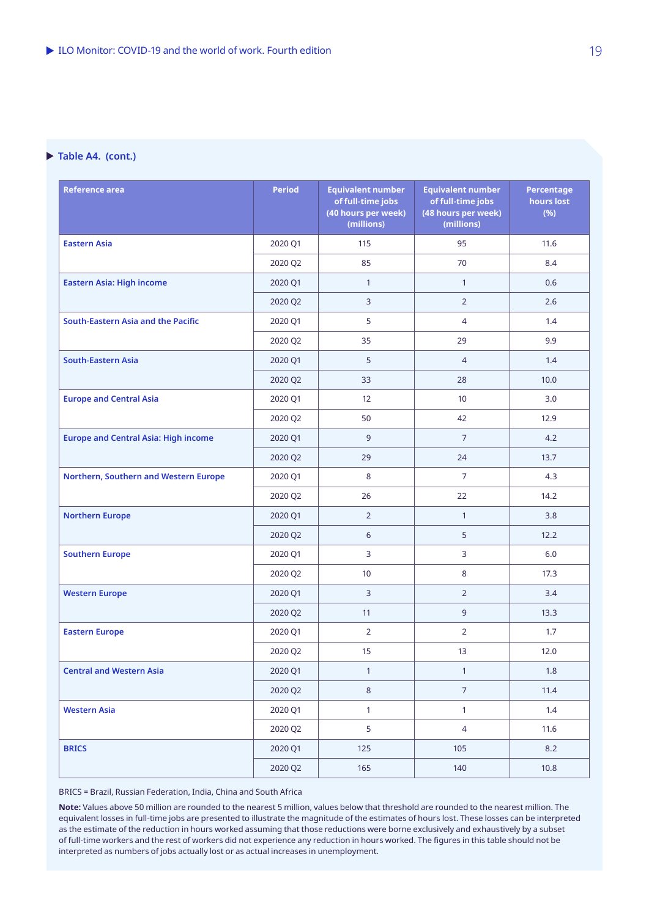#### ▶ Table A4. (cont.)

| <b>Reference area</b>                       | <b>Period</b> | <b>Equivalent number</b><br>of full-time jobs<br>(40 hours per week)<br>(millions) | <b>Equivalent number</b><br>of full-time jobs<br>(48 hours per week)<br>(millions) | <b>Percentage</b><br>hours lost<br>(%) |
|---------------------------------------------|---------------|------------------------------------------------------------------------------------|------------------------------------------------------------------------------------|----------------------------------------|
| <b>Eastern Asia</b>                         | 2020 Q1       | 115                                                                                | 95                                                                                 | 11.6                                   |
|                                             | 2020 Q2       | 85                                                                                 | 70                                                                                 | 8.4                                    |
| <b>Eastern Asia: High income</b>            | 2020 Q1       | $\mathbf{1}$                                                                       | $\mathbf{1}$                                                                       | 0.6                                    |
|                                             | 2020 Q2       | 3                                                                                  | $\overline{2}$                                                                     | 2.6                                    |
| South-Eastern Asia and the Pacific          | 2020 Q1       | 5                                                                                  | $\overline{4}$                                                                     | 1.4                                    |
|                                             | 2020 Q2       | 35                                                                                 | 29                                                                                 | 9.9                                    |
| <b>South-Eastern Asia</b>                   | 2020 Q1       | 5                                                                                  | $\overline{4}$                                                                     | 1.4                                    |
|                                             | 2020 Q2       | 33                                                                                 | 28                                                                                 | 10.0                                   |
| <b>Europe and Central Asia</b>              | 2020 Q1       | 12 <sup>2</sup>                                                                    | 10 <sup>°</sup>                                                                    | 3.0                                    |
|                                             | 2020 Q2       | 50                                                                                 | 42                                                                                 | 12.9                                   |
| <b>Europe and Central Asia: High income</b> | 2020 Q1       | $\overline{9}$                                                                     | $\overline{7}$                                                                     | 4.2                                    |
|                                             | 2020 Q2       | 29                                                                                 | 24                                                                                 | 13.7                                   |
| Northern, Southern and Western Europe       | 2020 Q1       | 8                                                                                  | $\overline{7}$                                                                     | 4.3                                    |
|                                             | 2020 Q2       | 26                                                                                 | 22                                                                                 | 14.2                                   |
| <b>Northern Europe</b>                      | 2020 Q1       | $\overline{2}$                                                                     | $\mathbf{1}$                                                                       | 3.8                                    |
|                                             | 2020 Q2       | 6                                                                                  | 5                                                                                  | 12.2                                   |
| <b>Southern Europe</b>                      | 2020 Q1       | 3                                                                                  | $\overline{3}$                                                                     | 6.0                                    |
|                                             | 2020 Q2       | 10 <sup>°</sup>                                                                    | 8                                                                                  | 17.3                                   |
| <b>Western Europe</b>                       | 2020 Q1       | 3                                                                                  | $\overline{2}$                                                                     | 3.4                                    |
|                                             | 2020 Q2       | 11                                                                                 | 9                                                                                  | 13.3                                   |
| <b>Eastern Europe</b>                       | 2020 Q1       | $\overline{2}$                                                                     | $\overline{2}$                                                                     | 1.7                                    |
|                                             | 2020 Q2       | 15                                                                                 | 13                                                                                 | 12.0                                   |
| <b>Central and Western Asia</b>             | 2020 Q1       | $\mathbf{1}$                                                                       | $\mathbf{1}$                                                                       | 1.8                                    |
|                                             | 2020 Q2       | $\,8\,$                                                                            | $\overline{7}$                                                                     | 11.4                                   |
| <b>Western Asia</b>                         | 2020 Q1       | $\mathbf{1}$                                                                       | $\mathbf{1}$                                                                       | 1.4                                    |
|                                             | 2020 Q2       | 5                                                                                  | $\overline{4}$                                                                     | 11.6                                   |
| <b>BRICS</b>                                | 2020 Q1       | 125                                                                                | 105                                                                                | 8.2                                    |
|                                             | 2020 Q2       | 165                                                                                | 140                                                                                | 10.8                                   |

BRICS = Brazil, Russian Federation, India, China and South Africa

**Note:** Values above 50 million are rounded to the nearest 5 million, values below that threshold are rounded to the nearest million. The equivalent losses in full-time jobs are presented to illustrate the magnitude of the estimates of hours lost. These losses can be interpreted as the estimate of the reduction in hours worked assuming that those reductions were borne exclusively and exhaustively by a subset of full-time workers and the rest of workers did not experience any reduction in hours worked. The figures in this table should not be interpreted as numbers of jobs actually lost or as actual increases in unemployment.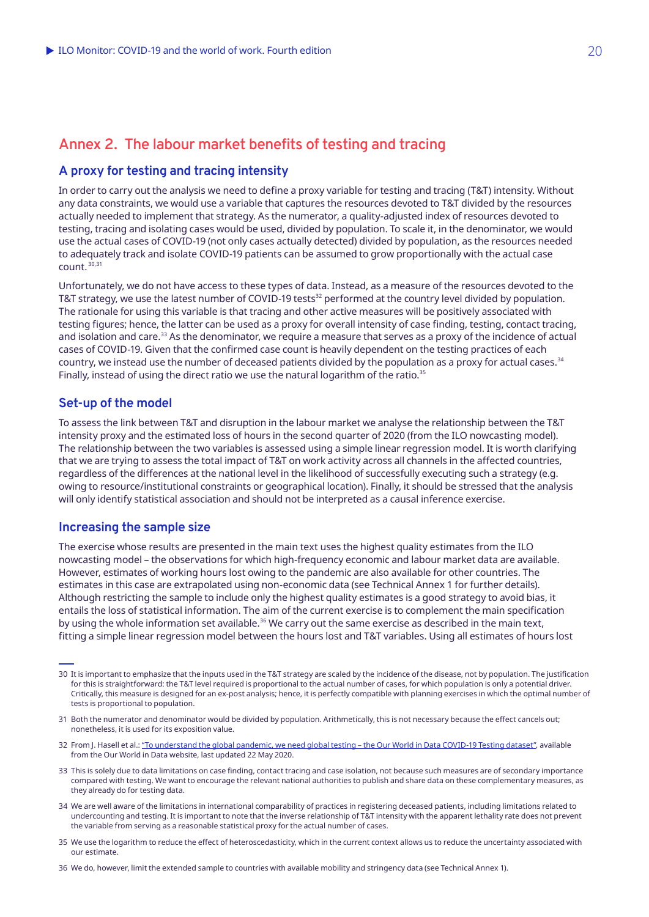### **A proxy for testing and tracing intensity**

In order to carry out the analysis we need to define a proxy variable for testing and tracing (T&T) intensity. Without any data constraints, we would use a variable that captures the resources devoted to T&T divided by the resources actually needed to implement that strategy. As the numerator, a quality-adjusted index of resources devoted to testing, tracing and isolating cases would be used, divided by population. To scale it, in the denominator, we would use the actual cases of COVID‑19 (not only cases actually detected) divided by population, as the resources needed to adequately track and isolate COVID‑19 patients can be assumed to grow proportionally with the actual case count. 30,31

Unfortunately, we do not have access to these types of data. Instead, as a measure of the resources devoted to the T&T strategy, we use the latest number of COVID-19 tests<sup>32</sup> performed at the country level divided by population. The rationale for using this variable is that tracing and other active measures will be positively associated with testing figures; hence, the latter can be used as a proxy for overall intensity of case finding, testing, contact tracing, and isolation and care.<sup>33</sup> As the denominator, we require a measure that serves as a proxy of the incidence of actual cases of COVID‑19. Given that the confirmed case count is heavily dependent on the testing practices of each country, we instead use the number of deceased patients divided by the population as a proxy for actual cases.<sup>34</sup> Finally, instead of using the direct ratio we use the natural logarithm of the ratio. $35$ 

### **Set-up of the model**

To assess the link between T&T and disruption in the labour market we analyse the relationship between the T&T intensity proxy and the estimated loss of hours in the second quarter of 2020 (from the ILO nowcasting model). The relationship between the two variables is assessed using a simple linear regression model. It is worth clarifying that we are trying to assess the total impact of T&T on work activity across all channels in the affected countries, regardless of the differences at the national level in the likelihood of successfully executing such a strategy (e.g. owing to resource/institutional constraints or geographical location). Finally, it should be stressed that the analysis will only identify statistical association and should not be interpreted as a causal inference exercise.

### **Increasing the sample size**

The exercise whose results are presented in the main text uses the highest quality estimates from the ILO nowcasting model – the observations for which high-frequency economic and labour market data are available. However, estimates of working hours lost owing to the pandemic are also available for other countries. The estimates in this case are extrapolated using non-economic data (see Technical Annex 1 for further details). Although restricting the sample to include only the highest quality estimates is a good strategy to avoid bias, it entails the loss of statistical information. The aim of the current exercise is to complement the main specification by using the whole information set available.<sup>36</sup> We carry out the same exercise as described in the main text, fitting a simple linear regression model between the hours lost and T&T variables. Using all estimates of hours lost

- 34 We are well aware of the limitations in international comparability of practices in registering deceased patients, including limitations related to undercounting and testing. It is important to note that the inverse relationship of T&T intensity with the apparent lethality rate does not prevent the variable from serving as a reasonable statistical proxy for the actual number of cases.
- 35 We use the logarithm to reduce the effect of heteroscedasticity, which in the current context allows us to reduce the uncertainty associated with our estimate.

36 We do, however, limit the extended sample to countries with available mobility and stringency data (see Technical Annex 1).

<sup>30</sup> It is important to emphasize that the inputs used in the T&T strategy are scaled by the incidence of the disease, not by population. The justification for this is straightforward: the T&T level required is proportional to the actual number of cases, for which population is only a potential driver. Critically, this measure is designed for an ex-post analysis; hence, it is perfectly compatible with planning exercises in which the optimal number of tests is proportional to population.

<sup>31</sup> Both the numerator and denominator would be divided by population. Arithmetically, this is not necessary because the effect cancels out; nonetheless, it is used for its exposition value.

<sup>32</sup> From J. Hasell et al.: "To understand the global pandemic, we need global testing – the Our World in Data COVID-19 Testing dataset", available from the Our World in Data website, last updated 22 May 2020.

<sup>33</sup> This is solely due to data limitations on case finding, contact tracing and case isolation, not because such measures are of secondary importance compared with testing. We want to encourage the relevant national authorities to publish and share data on these complementary measures, as they already do for testing data.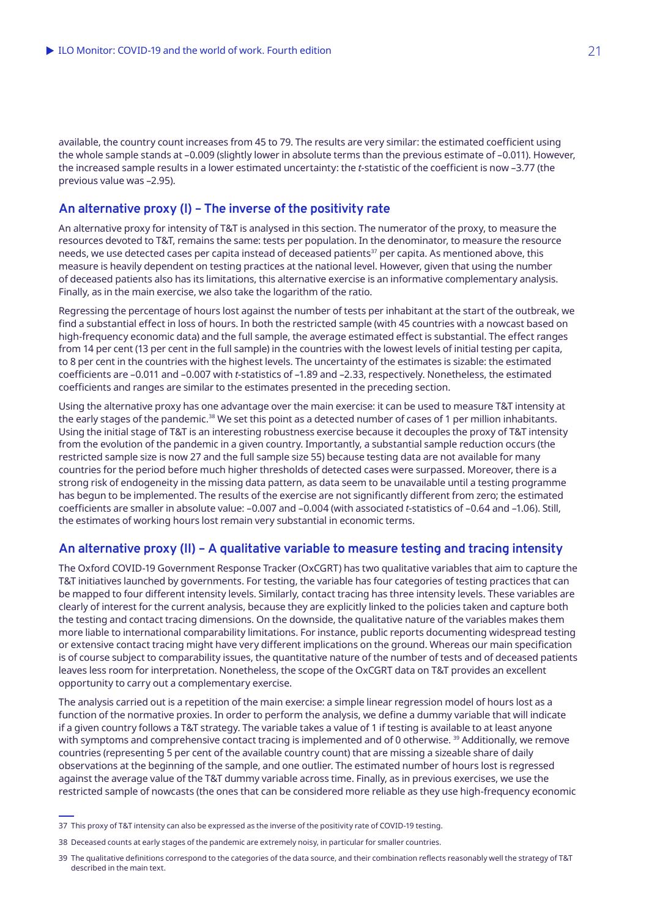available, the country count increases from 45 to 79. The results are very similar: the estimated coefficient using the whole sample stands at –0.009 (slightly lower in absolute terms than the previous estimate of –0.011). However, the increased sample results in a lower estimated uncertainty: the *t*-statistic of the coefficient is now –3.77 (the previous value was –2.95).

### **An alternative proxy (I) – The inverse of the positivity rate**

An alternative proxy for intensity of T&T is analysed in this section. The numerator of the proxy, to measure the resources devoted to T&T, remains the same: tests per population. In the denominator, to measure the resource needs, we use detected cases per capita instead of deceased patients<sup>37</sup> per capita. As mentioned above, this measure is heavily dependent on testing practices at the national level. However, given that using the number of deceased patients also has its limitations, this alternative exercise is an informative complementary analysis. Finally, as in the main exercise, we also take the logarithm of the ratio.

Regressing the percentage of hours lost against the number of tests per inhabitant at the start of the outbreak, we find a substantial effect in loss of hours. In both the restricted sample (with 45 countries with a nowcast based on high-frequency economic data) and the full sample, the average estimated effect is substantial. The effect ranges from 14 per cent (13 per cent in the full sample) in the countries with the lowest levels of initial testing per capita, to 8 per cent in the countries with the highest levels. The uncertainty of the estimates is sizable: the estimated coefficients are –0.011 and –0.007 with *t*-statistics of –1.89 and –2.33, respectively. Nonetheless, the estimated coefficients and ranges are similar to the estimates presented in the preceding section.

Using the alternative proxy has one advantage over the main exercise: it can be used to measure T&T intensity at the early stages of the pandemic.<sup>38</sup> We set this point as a detected number of cases of 1 per million inhabitants. Using the initial stage of T&T is an interesting robustness exercise because it decouples the proxy of T&T intensity from the evolution of the pandemic in a given country. Importantly, a substantial sample reduction occurs (the restricted sample size is now 27 and the full sample size 55) because testing data are not available for many countries for the period before much higher thresholds of detected cases were surpassed. Moreover, there is a strong risk of endogeneity in the missing data pattern, as data seem to be unavailable until a testing programme has begun to be implemented. The results of the exercise are not significantly different from zero; the estimated coefficients are smaller in absolute value: –0.007 and –0.004 (with associated *t*-statistics of –0.64 and –1.06). Still, the estimates of working hours lost remain very substantial in economic terms.

### **An alternative proxy (II) – A qualitative variable to measure testing and tracing intensity**

The Oxford COVID‑19 Government Response Tracker (OxCGRT) has two qualitative variables that aim to capture the T&T initiatives launched by governments. For testing, the variable has four categories of testing practices that can be mapped to four different intensity levels. Similarly, contact tracing has three intensity levels. These variables are clearly of interest for the current analysis, because they are explicitly linked to the policies taken and capture both the testing and contact tracing dimensions. On the downside, the qualitative nature of the variables makes them more liable to international comparability limitations. For instance, public reports documenting widespread testing or extensive contact tracing might have very different implications on the ground. Whereas our main specification is of course subject to comparability issues, the quantitative nature of the number of tests and of deceased patients leaves less room for interpretation. Nonetheless, the scope of the OxCGRT data on T&T provides an excellent opportunity to carry out a complementary exercise.

The analysis carried out is a repetition of the main exercise: a simple linear regression model of hours lost as a function of the normative proxies. In order to perform the analysis, we define a dummy variable that will indicate if a given country follows a T&T strategy. The variable takes a value of 1 if testing is available to at least anyone with symptoms and comprehensive contact tracing is implemented and of 0 otherwise.<sup>39</sup> Additionally, we remove countries (representing 5 per cent of the available country count) that are missing a sizeable share of daily observations at the beginning of the sample, and one outlier. The estimated number of hours lost is regressed against the average value of the T&T dummy variable across time. Finally, as in previous exercises, we use the restricted sample of nowcasts (the ones that can be considered more reliable as they use high-frequency economic

<sup>37</sup> This proxy of T&T intensity can also be expressed as the inverse of the positivity rate of COVID-19 testing.

<sup>38</sup> Deceased counts at early stages of the pandemic are extremely noisy, in particular for smaller countries.

<sup>39</sup> The qualitative definitions correspond to the categories of the data source, and their combination reflects reasonably well the strategy of T&T described in the main text.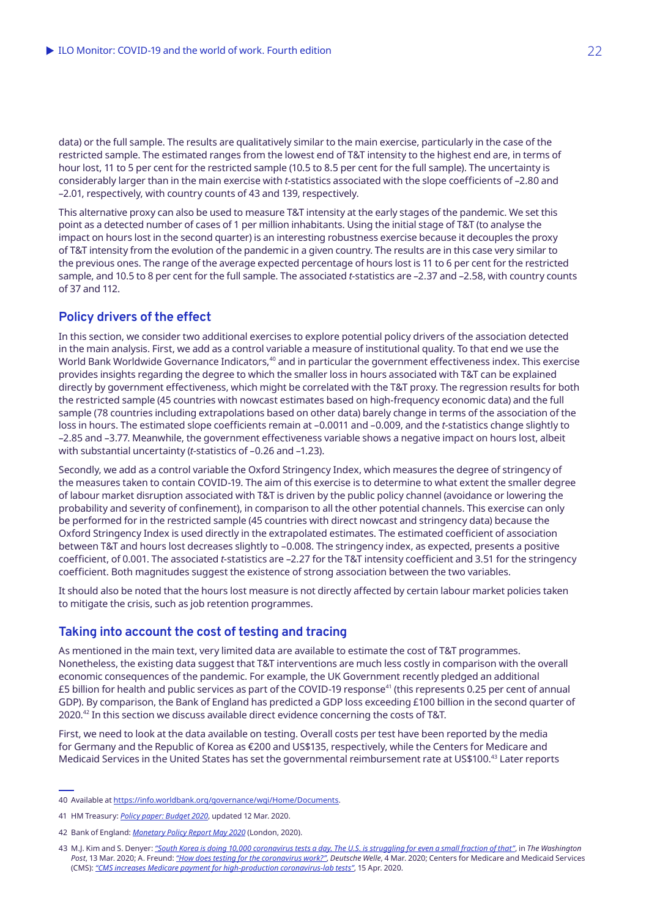data) or the full sample. The results are qualitatively similar to the main exercise, particularly in the case of the restricted sample. The estimated ranges from the lowest end of T&T intensity to the highest end are, in terms of hour lost, 11 to 5 per cent for the restricted sample (10.5 to 8.5 per cent for the full sample). The uncertainty is considerably larger than in the main exercise with *t*-statistics associated with the slope coefficients of –2.80 and –2.01, respectively, with country counts of 43 and 139, respectively.

This alternative proxy can also be used to measure T&T intensity at the early stages of the pandemic. We set this point as a detected number of cases of 1 per million inhabitants. Using the initial stage of T&T (to analyse the impact on hours lost in the second quarter) is an interesting robustness exercise because it decouples the proxy of T&T intensity from the evolution of the pandemic in a given country. The results are in this case very similar to the previous ones. The range of the average expected percentage of hours lost is 11 to 6 per cent for the restricted sample, and 10.5 to 8 per cent for the full sample. The associated *t*-statistics are –2.37 and –2.58, with country counts of 37 and 112.

### **Policy drivers of the effect**

In this section, we consider two additional exercises to explore potential policy drivers of the association detected in the main analysis. First, we add as a control variable a measure of institutional quality. To that end we use the World Bank Worldwide Governance Indicators,<sup>40</sup> and in particular the government effectiveness index. This exercise provides insights regarding the degree to which the smaller loss in hours associated with T&T can be explained directly by government effectiveness, which might be correlated with the T&T proxy. The regression results for both the restricted sample (45 countries with nowcast estimates based on high-frequency economic data) and the full sample (78 countries including extrapolations based on other data) barely change in terms of the association of the loss in hours. The estimated slope coefficients remain at –0.0011 and –0.009, and the *t*-statistics change slightly to –2.85 and –3.77. Meanwhile, the government effectiveness variable shows a negative impact on hours lost, albeit with substantial uncertainty (*t*-statistics of –0.26 and –1.23).

Secondly, we add as a control variable the Oxford Stringency Index, which measures the degree of stringency of the measures taken to contain COVID-19. The aim of this exercise is to determine to what extent the smaller degree of labour market disruption associated with T&T is driven by the public policy channel (avoidance or lowering the probability and severity of confinement), in comparison to all the other potential channels. This exercise can only be performed for in the restricted sample (45 countries with direct nowcast and stringency data) because the Oxford Stringency Index is used directly in the extrapolated estimates. The estimated coefficient of association between T&T and hours lost decreases slightly to –0.008. The stringency index, as expected, presents a positive coefficient, of 0.001. The associated *t*-statistics are –2.27 for the T&T intensity coefficient and 3.51 for the stringency coefficient. Both magnitudes suggest the existence of strong association between the two variables.

It should also be noted that the hours lost measure is not directly affected by certain labour market policies taken to mitigate the crisis, such as job retention programmes.

### **Taking into account the cost of testing and tracing**

As mentioned in the main text, very limited data are available to estimate the cost of T&T programmes. Nonetheless, the existing data suggest that T&T interventions are much less costly in comparison with the overall economic consequences of the pandemic. For example, the UK Government recently pledged an additional £5 billion for health and public services as part of the COVID-19 response<sup>41</sup> (this represents 0.25 per cent of annual GDP). By comparison, the Bank of England has predicted a GDP loss exceeding £100 billion in the second quarter of 2020.42 In this section we discuss available direct evidence concerning the costs of T&T.

First, we need to look at the data available on testing. Overall costs per test have been reported by the media for Germany and the Republic of Korea as €200 and US\$135, respectively, while the Centers for Medicare and Medicaid Services in the United States has set the governmental reimbursement rate at US\$100.43 Later reports

<sup>40</sup> Available at<https://info.worldbank.org/governance/wgi/Home/Documents>.

<sup>41</sup> HM Treasury: *[Policy paper: Budget 2020](https://www.gov.uk/government/publications/budget-2020-documents/budget-2020)*, updated 12 Mar. 2020.

<sup>42</sup> Bank of England: *[Monetary Policy Report May 2020](https://www.bankofengland.co.uk/-/media/boe/files/monetary-policy-report/2020/may/monetary-policy-report-may-2020)* (London, 2020).

<sup>43</sup> M.J. Kim and S. Denyer: *["South Korea is doing 10,000 coronavirus tests a day. The U.S. is struggling for even a small fraction of that"](https://www.washingtonpost.com/world/asia_pacific/coronavirus-test-kits-south-korea-us/2020/03/13/007f14fc-64a1-11ea-8a8e-5c5336b32760_story.html)*, in *The Washington Post*, 13 Mar. 2020; A. Freund: *["How does testing for the coronavirus work?"](https://www.dw.com/en/how-does-testing-for-the-coronavirus-work/a-52633616)*, *Deutsche Welle*, 4 Mar. 2020; Centers for Medicare and Medicaid Services (CMS): *["CMS increases Medicare payment for high-production coronavirus-lab tests"](https://www.cms.gov/newsroom/press-releases/cms-increases-medicare-payment-high-production-coronavirus-lab-tests-0)*, 15 Apr. 2020.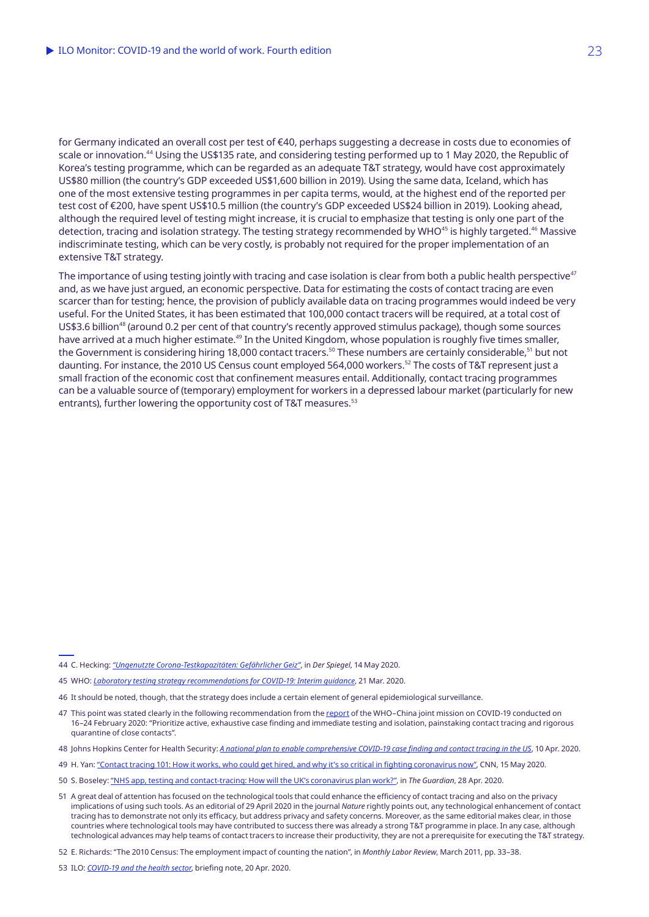for Germany indicated an overall cost per test of €40, perhaps suggesting a decrease in costs due to economies of scale or innovation.44 Using the US\$135 rate, and considering testing performed up to 1 May 2020, the Republic of Korea's testing programme, which can be regarded as an adequate T&T strategy, would have cost approximately US\$80 million (the country's GDP exceeded US\$1,600 billion in 2019). Using the same data, Iceland, which has one of the most extensive testing programmes in per capita terms, would, at the highest end of the reported per test cost of €200, have spent US\$10.5 million (the country's GDP exceeded US\$24 billion in 2019). Looking ahead, although the required level of testing might increase, it is crucial to emphasize that testing is only one part of the detection, tracing and isolation strategy. The testing strategy recommended by WHO<sup>45</sup> is highly targeted.<sup>46</sup> Massive indiscriminate testing, which can be very costly, is probably not required for the proper implementation of an extensive T&T strategy.

The importance of using testing jointly with tracing and case isolation is clear from both a public health perspective<sup>47</sup> and, as we have just argued, an economic perspective. Data for estimating the costs of contact tracing are even scarcer than for testing; hence, the provision of publicly available data on tracing programmes would indeed be very useful. For the United States, it has been estimated that 100,000 contact tracers will be required, at a total cost of US\$3.6 billion<sup>48</sup> (around 0.2 per cent of that country's recently approved stimulus package), though some sources have arrived at a much higher estimate.<sup>49</sup> In the United Kingdom, whose population is roughly five times smaller, the Government is considering hiring 18,000 contact tracers.<sup>50</sup> These numbers are certainly considerable.<sup>51</sup> but not daunting. For instance, the 2010 US Census count employed 564,000 workers.<sup>52</sup> The costs of T&T represent just a small fraction of the economic cost that confinement measures entail. Additionally, contact tracing programmes can be a valuable source of (temporary) employment for workers in a depressed labour market (particularly for new entrants), further lowering the opportunity cost of T&T measures.<sup>53</sup>

<sup>44</sup> C. Hecking: *["Ungenutzte Corona-Testkapazitäten: Gefährlicher Geiz"](https://www.spiegel.de/wissenschaft/mensch/corona-testkapazitaeten-werden-nicht-genutzt-gfaehrlicher-geiz-a-97e2fc79-7ed6-468c-9107-1d30658aeb9c)*, in *Der Spiegel*, 14 May 2020.

<sup>45</sup> WHO: *[Laboratory testing strategy recommendations for COVID-19: Interim guidance](https://apps.who.int/iris/bitstream/handle/10665/331509/WHO-COVID-19-lab_testing-2020.1-eng.pdf)*, 21 Mar. 2020.

<sup>46</sup> It should be noted, though, that the strategy does include a certain element of general epidemiological surveillance.

<sup>47</sup> This point was stated clearly in the following recommendation from the [report](https://www.who.int/docs/default-source/coronaviruse/who-china-joint-mission-on-covid-19-final-report.pdf) of the WHO-China joint mission on COVID-19 conducted on 16–24 February 2020: "Prioritize active, exhaustive case finding and immediate testing and isolation, painstaking contact tracing and rigorous quarantine of close contacts".

<sup>48</sup> Johns Hopkins Center for Health Security: *[A national plan to enable comprehensive COVID‑19 case finding and contact tracing in the US](https://www.centerforhealthsecurity.org/our-work/pubs_archive/pubs-pdfs/2020/200410-national-plan-to-contact-tracing.pdf)*, 10 Apr. 2020.

<sup>49</sup> H. Yan: ["Contact tracing 101: How it works, who could get hired, and why it's so critical in fighting coronavirus now"](https://edition.cnn.com/2020/04/27/health/contact-tracing-explainer-coronavirus/index.html), CNN, 15 May 2020.

<sup>50</sup> S. Boseley: ["NHS app, testing and contact-tracing: How will the UK's coronavirus plan work?",](https://www.theguardian.com/politics/2020/apr/28/uk-contact-tracing-plans-an-nhs-app-and-an-army-of-health-staff) in *The Guardian*, 28 Apr. 2020.

<sup>51</sup> A great deal of attention has focused on the technological tools that could enhance the efficiency of contact tracing and also on the privacy implications of using such tools. As an editorial of 29 April 2020 in the journal *Nature* rightly points out, any technological enhancement of contact tracing has to demonstrate not only its efficacy, but address privacy and safety concerns. Moreover, as the same editorial makes clear, in those countries where technological tools may have contributed to success there was already a strong T&T programme in place. In any case, although technological advances may help teams of contact tracers to increase their productivity, they are not a prerequisite for executing the T&T strategy.

<sup>52</sup> E. Richards: "The 2010 Census: The employment impact of counting the nation", in *Monthly Labor Review*, March 2011, pp. 33–38.

<sup>53</sup> ILO: *[COVID-19 and the health sector](https://www.ilo.org/sector/Resources/publications/WCMS_741655/lang--en/index.htm)*, briefing note, 20 Apr. 2020.